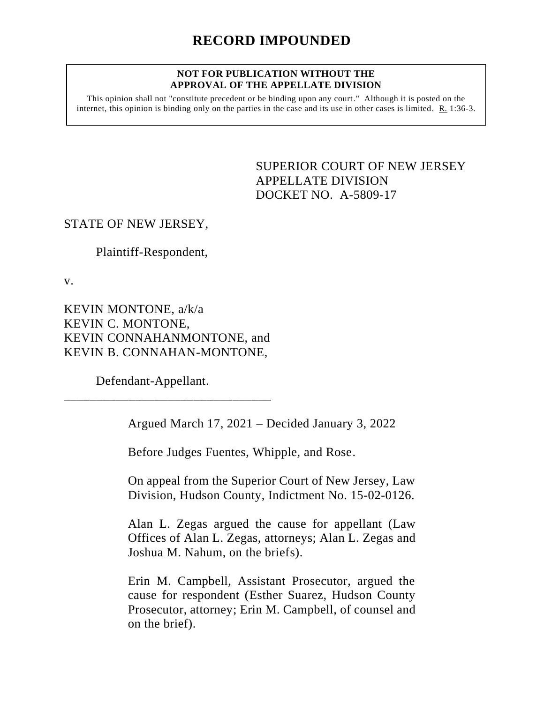#### **NOT FOR PUBLICATION WITHOUT THE APPROVAL OF THE APPELLATE DIVISION**

This opinion shall not "constitute precedent or be binding upon any court." Although it is posted on the internet, this opinion is binding only on the parties in the case and its use in other cases is limited.  $R_1$  1:36-3.

> <span id="page-0-0"></span>SUPERIOR COURT OF NEW JERSEY APPELLATE DIVISION DOCKET NO. A-5809-17

# STATE OF NEW JERSEY,

Plaintiff-Respondent,

v.

KEVIN MONTONE, a/k/a KEVIN C. MONTONE, KEVIN CONNAHANMONTONE, and KEVIN B. CONNAHAN-MONTONE,

\_\_\_\_\_\_\_\_\_\_\_\_\_\_\_\_\_\_\_\_\_\_\_\_\_\_\_\_\_\_\_\_

Defendant-Appellant.

Argued March 17, 2021 – Decided January 3, 2022

Before Judges Fuentes, Whipple, and Rose.

On appeal from the Superior Court of New Jersey, Law Division, Hudson County, Indictment No. 15-02-0126.

Alan L. Zegas argued the cause for appellant (Law Offices of Alan L. Zegas, attorneys; Alan L. Zegas and Joshua M. Nahum, on the briefs).

Erin M. Campbell, Assistant Prosecutor, argued the cause for respondent (Esther Suarez, Hudson County Prosecutor, attorney; Erin M. Campbell, of counsel and on the brief).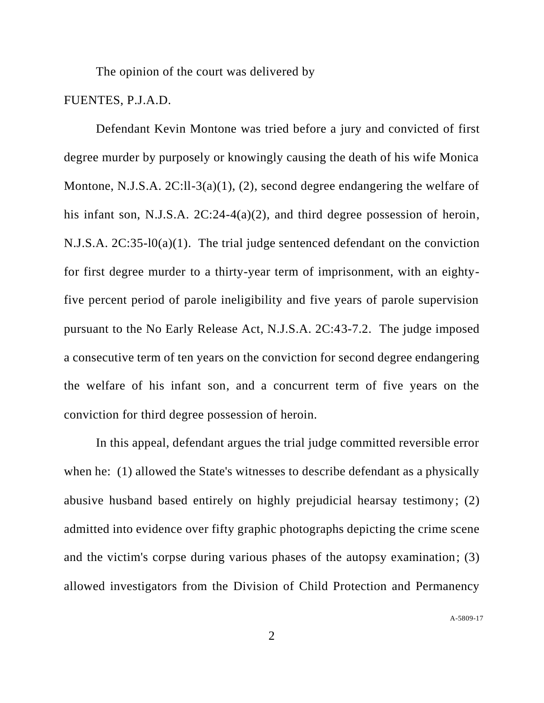The opinion of the court was delivered by

# FUENTES, P.J.A.D.

Defendant Kevin Montone was tried before a jury and convicted of first degree murder by purposely or knowingly causing the death of his wife Monica Montone, N.J.S.A. 2C:ll-3(a)(1), (2), second degree endangering the welfare of his infant son, N.J.S.A. 2C:24-4(a)(2), and third degree possession of heroin, N.J.S.A. 2C:35-l0(a)(1). The trial judge sentenced defendant on the conviction for first degree murder to a thirty-year term of imprisonment, with an eightyfive percent period of parole ineligibility and five years of parole supervision pursuant to the No Early Release Act, N.J.S.A. 2C:43-7.2. The judge imposed a consecutive term of ten years on the conviction for second degree endangering the welfare of his infant son, and a concurrent term of five years on the conviction for third degree possession of heroin.

In this appeal, defendant argues the trial judge committed reversible error when he: (1) allowed the State's witnesses to describe defendant as a physically abusive husband based entirely on highly prejudicial hearsay testimony; (2) admitted into evidence over fifty graphic photographs depicting the crime scene and the victim's corpse during various phases of the autopsy examination; (3) allowed investigators from the Division of Child Protection and Permanency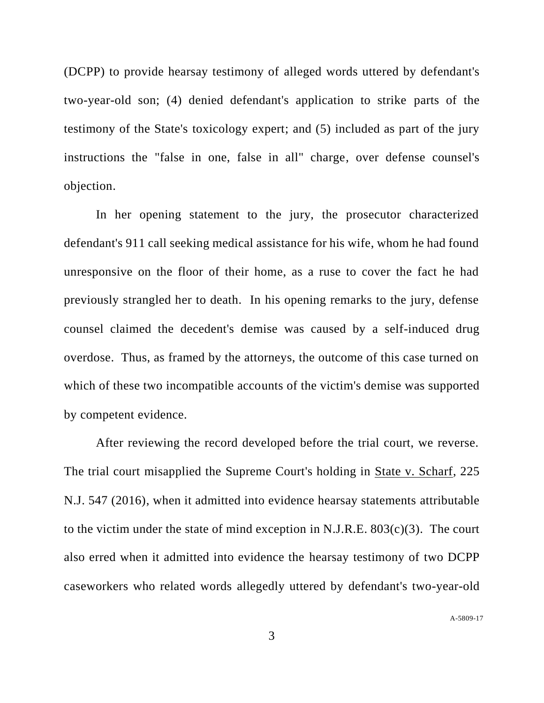(DCPP) to provide hearsay testimony of alleged words uttered by defendant's two-year-old son; (4) denied defendant's application to strike parts of the testimony of the State's toxicology expert; and (5) included as part of the jury instructions the "false in one, false in all" charge, over defense counsel's objection.

In her opening statement to the jury, the prosecutor characterized defendant's 911 call seeking medical assistance for his wife, whom he had found unresponsive on the floor of their home, as a ruse to cover the fact he had previously strangled her to death. In his opening remarks to the jury, defense counsel claimed the decedent's demise was caused by a self-induced drug overdose. Thus, as framed by the attorneys, the outcome of this case turned on which of these two incompatible accounts of the victim's demise was supported by competent evidence.

After reviewing the record developed before the trial court, we reverse. The trial court misapplied the Supreme Court's holding in State v. Scharf, 225 N.J. 547 (2016), when it admitted into evidence hearsay statements attributable to the victim under the state of mind exception in N.J.R.E.  $803(c)(3)$ . The court also erred when it admitted into evidence the hearsay testimony of two DCPP caseworkers who related words allegedly uttered by defendant's two-year-old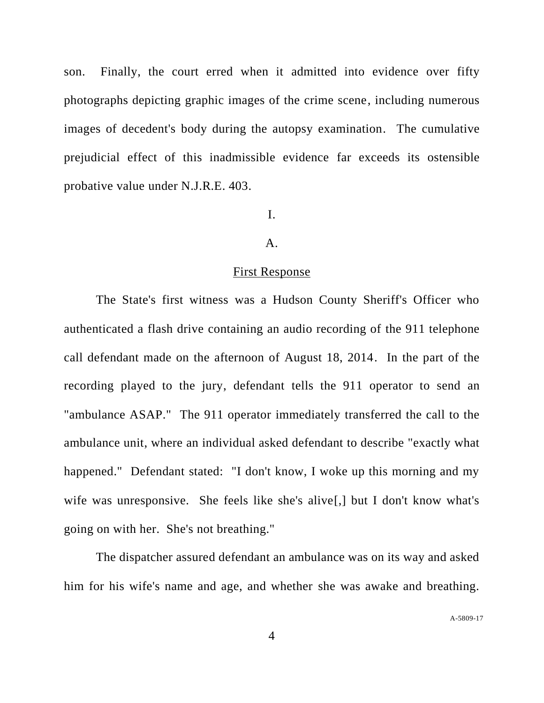son. Finally, the court erred when it admitted into evidence over fifty photographs depicting graphic images of the crime scene, including numerous images of decedent's body during the autopsy examination. The cumulative prejudicial effect of this inadmissible evidence far exceeds its ostensible probative value under N.J.R.E. 403.

#### I.

#### A.

#### First Response

The State's first witness was a Hudson County Sheriff's Officer who authenticated a flash drive containing an audio recording of the 911 telephone call defendant made on the afternoon of August 18, 2014. In the part of the recording played to the jury, defendant tells the 911 operator to send an "ambulance ASAP." The 911 operator immediately transferred the call to the ambulance unit, where an individual asked defendant to describe "exactly what happened." Defendant stated: "I don't know, I woke up this morning and my wife was unresponsive. She feels like she's alive<sup>[1]</sup>, but I don't know what's going on with her. She's not breathing."

The dispatcher assured defendant an ambulance was on its way and asked him for his wife's name and age, and whether she was awake and breathing.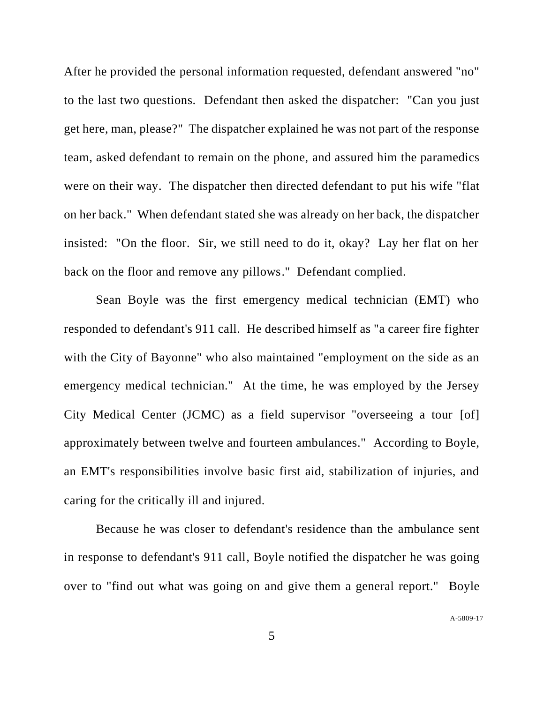After he provided the personal information requested, defendant answered "no" to the last two questions. Defendant then asked the dispatcher: "Can you just get here, man, please?" The dispatcher explained he was not part of the response team, asked defendant to remain on the phone, and assured him the paramedics were on their way. The dispatcher then directed defendant to put his wife "flat on her back." When defendant stated she was already on her back, the dispatcher insisted: "On the floor. Sir, we still need to do it, okay? Lay her flat on her back on the floor and remove any pillows." Defendant complied.

Sean Boyle was the first emergency medical technician (EMT) who responded to defendant's 911 call. He described himself as "a career fire fighter with the City of Bayonne" who also maintained "employment on the side as an emergency medical technician." At the time, he was employed by the Jersey City Medical Center (JCMC) as a field supervisor "overseeing a tour [of] approximately between twelve and fourteen ambulances." According to Boyle, an EMT's responsibilities involve basic first aid, stabilization of injuries, and caring for the critically ill and injured.

Because he was closer to defendant's residence than the ambulance sent in response to defendant's 911 call, Boyle notified the dispatcher he was going over to "find out what was going on and give them a general report." Boyle

A[-5809-17](#page-0-0)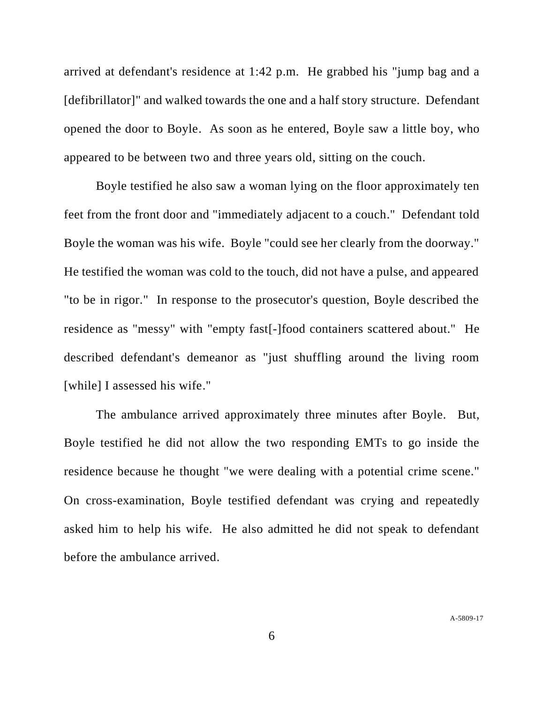arrived at defendant's residence at 1:42 p.m. He grabbed his "jump bag and a [defibrillator]" and walked towards the one and a half story structure. Defendant opened the door to Boyle. As soon as he entered, Boyle saw a little boy, who appeared to be between two and three years old, sitting on the couch.

Boyle testified he also saw a woman lying on the floor approximately ten feet from the front door and "immediately adjacent to a couch." Defendant told Boyle the woman was his wife. Boyle "could see her clearly from the doorway." He testified the woman was cold to the touch, did not have a pulse, and appeared "to be in rigor." In response to the prosecutor's question, Boyle described the residence as "messy" with "empty fast[-]food containers scattered about." He described defendant's demeanor as "just shuffling around the living room [while] I assessed his wife."

The ambulance arrived approximately three minutes after Boyle. But, Boyle testified he did not allow the two responding EMTs to go inside the residence because he thought "we were dealing with a potential crime scene." On cross-examination, Boyle testified defendant was crying and repeatedly asked him to help his wife. He also admitted he did not speak to defendant before the ambulance arrived.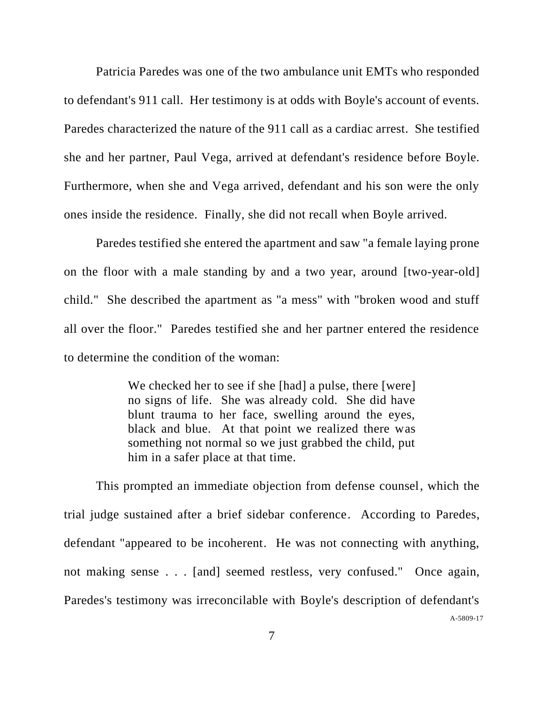Patricia Paredes was one of the two ambulance unit EMTs who responded to defendant's 911 call. Her testimony is at odds with Boyle's account of events. Paredes characterized the nature of the 911 call as a cardiac arrest. She testified she and her partner, Paul Vega, arrived at defendant's residence before Boyle. Furthermore, when she and Vega arrived, defendant and his son were the only ones inside the residence. Finally, she did not recall when Boyle arrived.

Paredes testified she entered the apartment and saw "a female laying prone on the floor with a male standing by and a two year, around [two-year-old] child." She described the apartment as "a mess" with "broken wood and stuff all over the floor." Paredes testified she and her partner entered the residence to determine the condition of the woman:

> We checked her to see if she [had] a pulse, there [were] no signs of life. She was already cold. She did have blunt trauma to her face, swelling around the eyes, black and blue. At that point we realized there was something not normal so we just grabbed the child, put him in a safer place at that time.

A[-5809-17](#page-0-0) This prompted an immediate objection from defense counsel, which the trial judge sustained after a brief sidebar conference. According to Paredes, defendant "appeared to be incoherent. He was not connecting with anything, not making sense . . . [and] seemed restless, very confused." Once again, Paredes's testimony was irreconcilable with Boyle's description of defendant's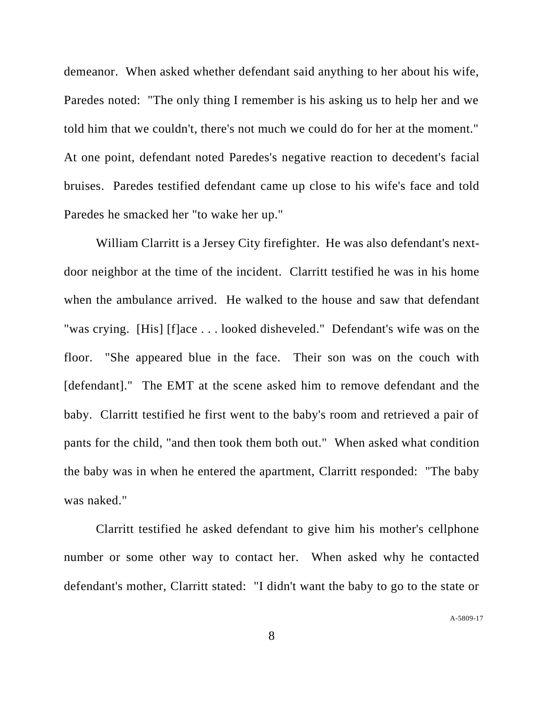demeanor. When asked whether defendant said anything to her about his wife, Paredes noted: "The only thing I remember is his asking us to help her and we told him that we couldn't, there's not much we could do for her at the moment." At one point, defendant noted Paredes's negative reaction to decedent's facial bruises. Paredes testified defendant came up close to his wife's face and told Paredes he smacked her "to wake her up."

William Clarritt is a Jersey City firefighter. He was also defendant's nextdoor neighbor at the time of the incident. Clarritt testified he was in his home when the ambulance arrived. He walked to the house and saw that defendant "was crying. [His] [f]ace . . . looked disheveled." Defendant's wife was on the floor. "She appeared blue in the face. Their son was on the couch with [defendant]." The EMT at the scene asked him to remove defendant and the baby. Clarritt testified he first went to the baby's room and retrieved a pair of pants for the child, "and then took them both out." When asked what condition the baby was in when he entered the apartment, Clarritt responded: "The baby was naked."

Clarritt testified he asked defendant to give him his mother's cellphone number or some other way to contact her. When asked why he contacted defendant's mother, Clarritt stated: "I didn't want the baby to go to the state or

A[-5809-17](#page-0-0)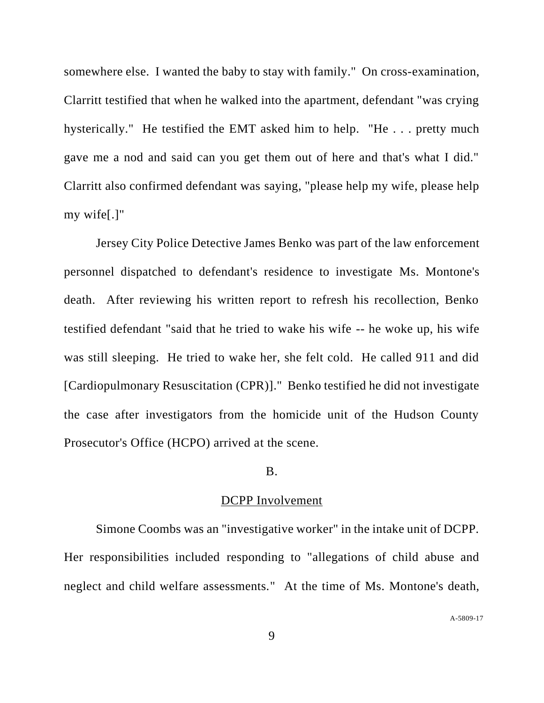somewhere else. I wanted the baby to stay with family." On cross-examination, Clarritt testified that when he walked into the apartment, defendant "was crying hysterically." He testified the EMT asked him to help. "He . . . pretty much gave me a nod and said can you get them out of here and that's what I did." Clarritt also confirmed defendant was saying, "please help my wife, please help my wife[.]"

Jersey City Police Detective James Benko was part of the law enforcement personnel dispatched to defendant's residence to investigate Ms. Montone's death. After reviewing his written report to refresh his recollection, Benko testified defendant "said that he tried to wake his wife -- he woke up, his wife was still sleeping. He tried to wake her, she felt cold. He called 911 and did [Cardiopulmonary Resuscitation (CPR)]." Benko testified he did not investigate the case after investigators from the homicide unit of the Hudson County Prosecutor's Office (HCPO) arrived at the scene.

#### B.

#### DCPP Involvement

Simone Coombs was an "investigative worker" in the intake unit of DCPP. Her responsibilities included responding to "allegations of child abuse and neglect and child welfare assessments." At the time of Ms. Montone's death,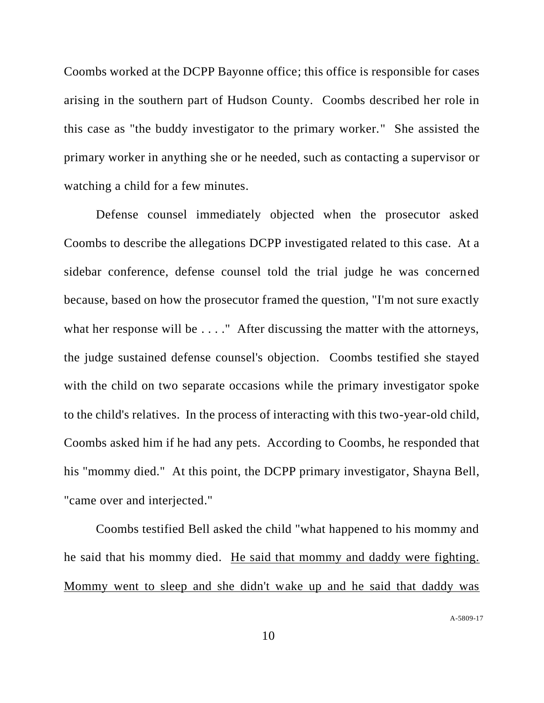Coombs worked at the DCPP Bayonne office; this office is responsible for cases arising in the southern part of Hudson County. Coombs described her role in this case as "the buddy investigator to the primary worker." She assisted the primary worker in anything she or he needed, such as contacting a supervisor or watching a child for a few minutes.

Defense counsel immediately objected when the prosecutor asked Coombs to describe the allegations DCPP investigated related to this case. At a sidebar conference, defense counsel told the trial judge he was concerned because, based on how the prosecutor framed the question, "I'm not sure exactly what her response will be . . . ." After discussing the matter with the attorneys, the judge sustained defense counsel's objection. Coombs testified she stayed with the child on two separate occasions while the primary investigator spoke to the child's relatives. In the process of interacting with this two-year-old child, Coombs asked him if he had any pets. According to Coombs, he responded that his "mommy died." At this point, the DCPP primary investigator, Shayna Bell, "came over and interjected."

Coombs testified Bell asked the child "what happened to his mommy and he said that his mommy died. He said that mommy and daddy were fighting. Mommy went to sleep and she didn't wake up and he said that daddy was

A[-5809-17](#page-0-0)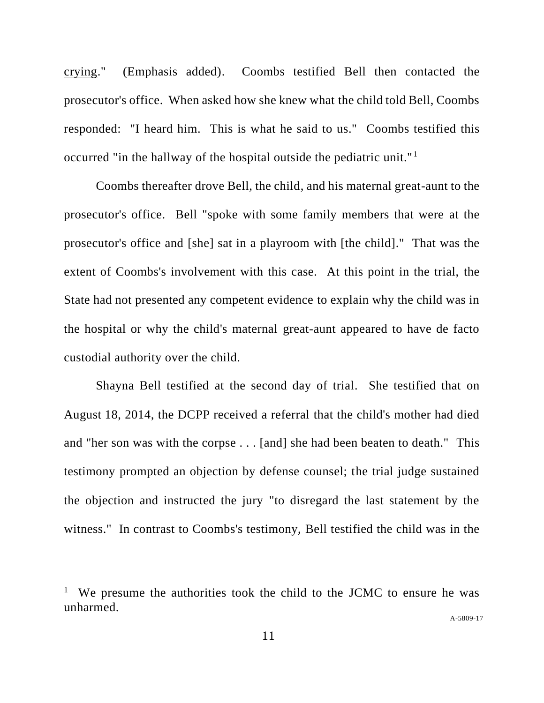crying." (Emphasis added). Coombs testified Bell then contacted the prosecutor's office. When asked how she knew what the child told Bell, Coombs responded: "I heard him. This is what he said to us." Coombs testified this occurred "in the hallway of the hospital outside the pediatric unit." <sup>1</sup>

Coombs thereafter drove Bell, the child, and his maternal great-aunt to the prosecutor's office. Bell "spoke with some family members that were at the prosecutor's office and [she] sat in a playroom with [the child]." That was the extent of Coombs's involvement with this case. At this point in the trial, the State had not presented any competent evidence to explain why the child was in the hospital or why the child's maternal great-aunt appeared to have de facto custodial authority over the child.

Shayna Bell testified at the second day of trial. She testified that on August 18, 2014, the DCPP received a referral that the child's mother had died and "her son was with the corpse . . . [and] she had been beaten to death." This testimony prompted an objection by defense counsel; the trial judge sustained the objection and instructed the jury "to disregard the last statement by the witness." In contrast to Coombs's testimony, Bell testified the child was in the

<sup>&</sup>lt;sup>1</sup> We presume the authorities took the child to the JCMC to ensure he was unharmed.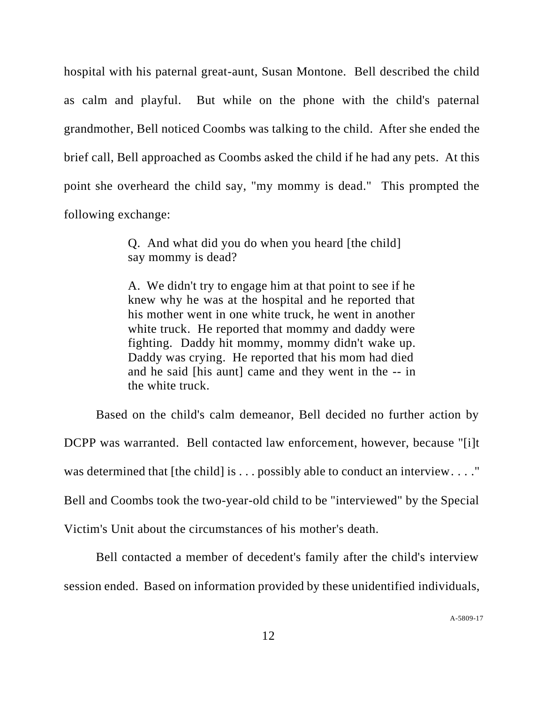hospital with his paternal great-aunt, Susan Montone. Bell described the child as calm and playful. But while on the phone with the child's paternal grandmother, Bell noticed Coombs was talking to the child. After she ended the brief call, Bell approached as Coombs asked the child if he had any pets. At this point she overheard the child say, "my mommy is dead." This prompted the following exchange:

> Q. And what did you do when you heard [the child] say mommy is dead?

A. We didn't try to engage him at that point to see if he knew why he was at the hospital and he reported that his mother went in one white truck, he went in another white truck. He reported that mommy and daddy were fighting. Daddy hit mommy, mommy didn't wake up. Daddy was crying. He reported that his mom had died and he said [his aunt] came and they went in the -- in the white truck.

Based on the child's calm demeanor, Bell decided no further action by DCPP was warranted. Bell contacted law enforcement, however, because "[i]t was determined that [the child] is . . . possibly able to conduct an interview. . . . " Bell and Coombs took the two-year-old child to be "interviewed" by the Special Victim's Unit about the circumstances of his mother's death.

Bell contacted a member of decedent's family after the child's interview session ended. Based on information provided by these unidentified individuals,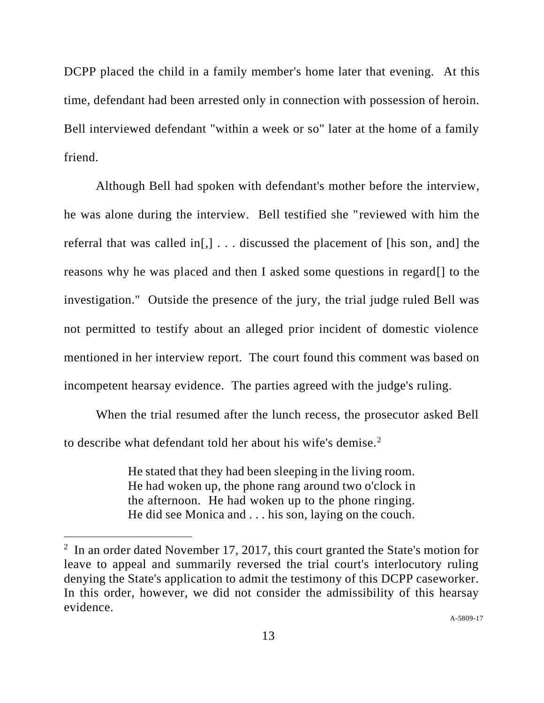DCPP placed the child in a family member's home later that evening. At this time, defendant had been arrested only in connection with possession of heroin. Bell interviewed defendant "within a week or so" later at the home of a family friend.

Although Bell had spoken with defendant's mother before the interview, he was alone during the interview. Bell testified she "reviewed with him the referral that was called in[,] . . . discussed the placement of [his son, and] the reasons why he was placed and then I asked some questions in regard[] to the investigation." Outside the presence of the jury, the trial judge ruled Bell was not permitted to testify about an alleged prior incident of domestic violence mentioned in her interview report. The court found this comment was based on incompetent hearsay evidence. The parties agreed with the judge's ruling.

When the trial resumed after the lunch recess, the prosecutor asked Bell to describe what defendant told her about his wife's demise.<sup>2</sup>

> He stated that they had been sleeping in the living room. He had woken up, the phone rang around two o'clock in the afternoon. He had woken up to the phone ringing. He did see Monica and . . . his son, laying on the couch.

<sup>&</sup>lt;sup>2</sup> In an order dated November 17, 2017, this court granted the State's motion for leave to appeal and summarily reversed the trial court's interlocutory ruling denying the State's application to admit the testimony of this DCPP caseworker. In this order, however, we did not consider the admissibility of this hearsay evidence.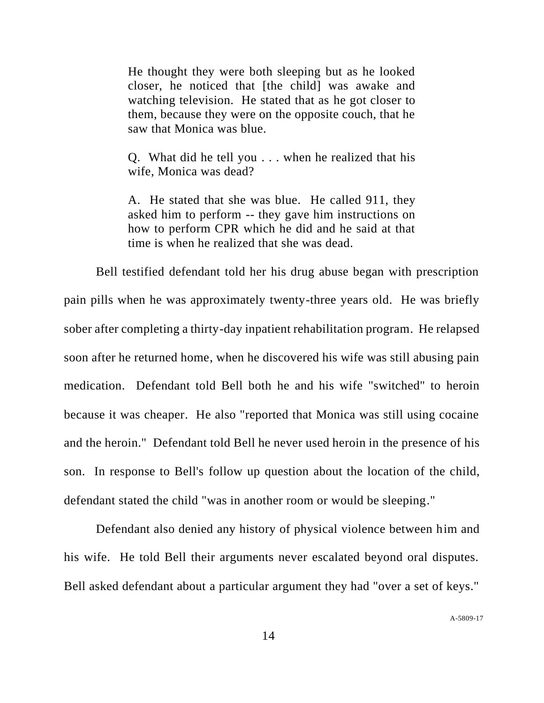He thought they were both sleeping but as he looked closer, he noticed that [the child] was awake and watching television. He stated that as he got closer to them, because they were on the opposite couch, that he saw that Monica was blue.

Q. What did he tell you . . . when he realized that his wife, Monica was dead?

A. He stated that she was blue. He called 911, they asked him to perform -- they gave him instructions on how to perform CPR which he did and he said at that time is when he realized that she was dead.

Bell testified defendant told her his drug abuse began with prescription pain pills when he was approximately twenty-three years old. He was briefly sober after completing a thirty-day inpatient rehabilitation program. He relapsed soon after he returned home, when he discovered his wife was still abusing pain medication. Defendant told Bell both he and his wife "switched" to heroin because it was cheaper. He also "reported that Monica was still using cocaine and the heroin." Defendant told Bell he never used heroin in the presence of his son. In response to Bell's follow up question about the location of the child, defendant stated the child "was in another room or would be sleeping."

Defendant also denied any history of physical violence between him and his wife. He told Bell their arguments never escalated beyond oral disputes. Bell asked defendant about a particular argument they had "over a set of keys."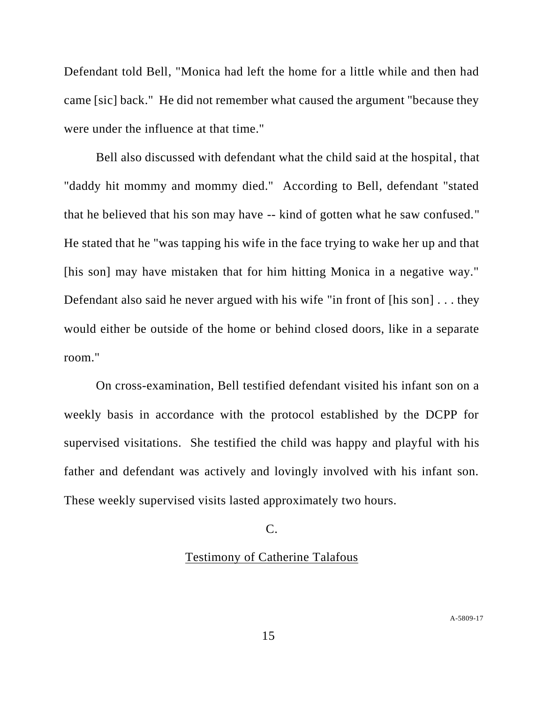Defendant told Bell, "Monica had left the home for a little while and then had came [sic] back." He did not remember what caused the argument "because they were under the influence at that time."

Bell also discussed with defendant what the child said at the hospital, that "daddy hit mommy and mommy died." According to Bell, defendant "stated that he believed that his son may have -- kind of gotten what he saw confused." He stated that he "was tapping his wife in the face trying to wake her up and that [his son] may have mistaken that for him hitting Monica in a negative way." Defendant also said he never argued with his wife "in front of [his son] . . . they would either be outside of the home or behind closed doors, like in a separate room."

On cross-examination, Bell testified defendant visited his infant son on a weekly basis in accordance with the protocol established by the DCPP for supervised visitations. She testified the child was happy and playful with his father and defendant was actively and lovingly involved with his infant son. These weekly supervised visits lasted approximately two hours.

# C.

# Testimony of Catherine Talafous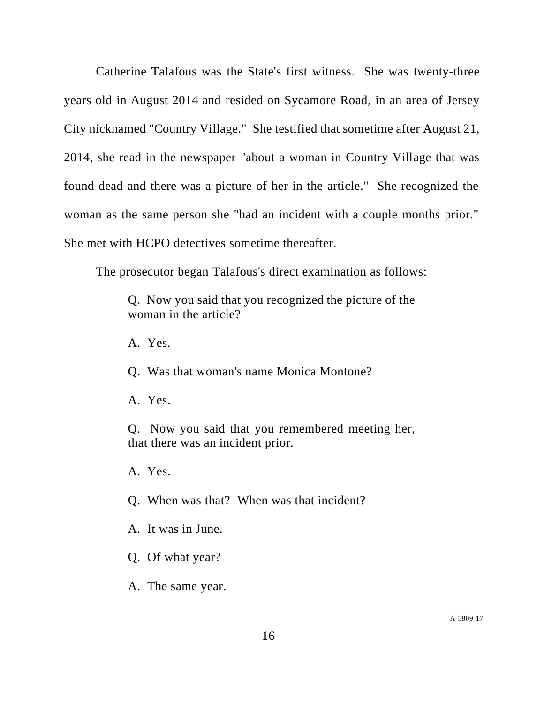Catherine Talafous was the State's first witness. She was twenty-three years old in August 2014 and resided on Sycamore Road, in an area of Jersey City nicknamed "Country Village." She testified that sometime after August 21, 2014, she read in the newspaper "about a woman in Country Village that was found dead and there was a picture of her in the article." She recognized the woman as the same person she "had an incident with a couple months prior." She met with HCPO detectives sometime thereafter.

The prosecutor began Talafous's direct examination as follows:

Q. Now you said that you recognized the picture of the woman in the article?

A. Yes.

Q. Was that woman's name Monica Montone?

A. Yes.

Q. Now you said that you remembered meeting her, that there was an incident prior.

A. Yes.

Q. When was that? When was that incident?

A. It was in June.

Q. Of what year?

A. The same year.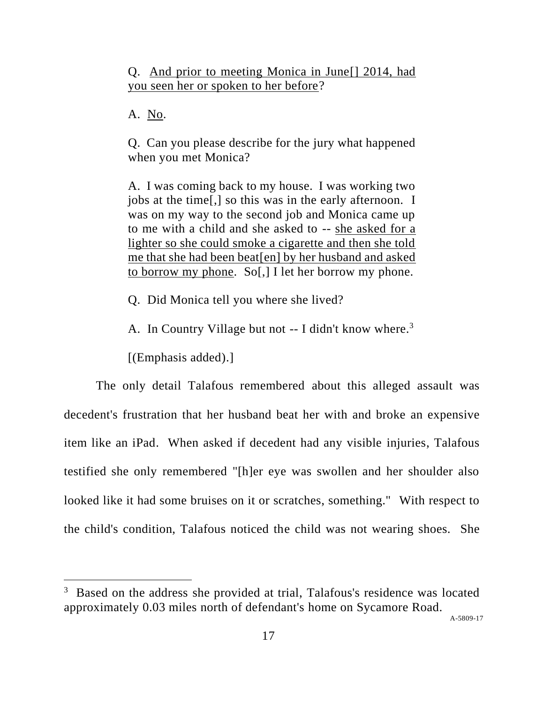Q. And prior to meeting Monica in June[] 2014, had you seen her or spoken to her before?

A. No.

Q. Can you please describe for the jury what happened when you met Monica?

A. I was coming back to my house. I was working two jobs at the time[,] so this was in the early afternoon. I was on my way to the second job and Monica came up to me with a child and she asked to -- she asked for a lighter so she could smoke a cigarette and then she told me that she had been beat[en] by her husband and asked to borrow my phone. So[,] I let her borrow my phone.

Q. Did Monica tell you where she lived?

A. In Country Village but not -- I didn't know where.<sup>3</sup>

[(Emphasis added).]

The only detail Talafous remembered about this alleged assault was decedent's frustration that her husband beat her with and broke an expensive item like an iPad. When asked if decedent had any visible injuries, Talafous testified she only remembered "[h]er eye was swollen and her shoulder also looked like it had some bruises on it or scratches, something." With respect to the child's condition, Talafous noticed the child was not wearing shoes. She

<sup>3</sup> Based on the address she provided at trial, Talafous's residence was located approximately 0.03 miles north of defendant's home on Sycamore Road.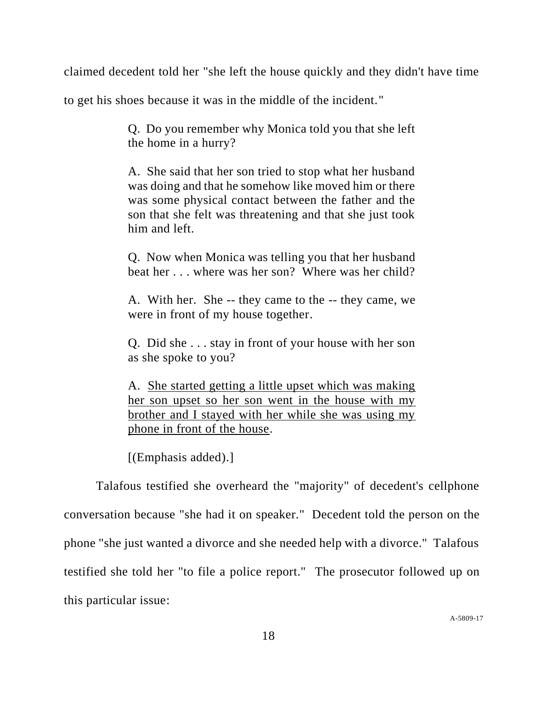claimed decedent told her "she left the house quickly and they didn't have time

to get his shoes because it was in the middle of the incident."

Q. Do you remember why Monica told you that she left the home in a hurry?

A. She said that her son tried to stop what her husband was doing and that he somehow like moved him or there was some physical contact between the father and the son that she felt was threatening and that she just took him and left.

Q. Now when Monica was telling you that her husband beat her . . . where was her son? Where was her child?

A. With her. She -- they came to the -- they came, we were in front of my house together.

Q. Did she . . . stay in front of your house with her son as she spoke to you?

A. She started getting a little upset which was making her son upset so her son went in the house with my brother and I stayed with her while she was using my phone in front of the house.

[(Emphasis added).]

Talafous testified she overheard the "majority" of decedent's cellphone conversation because "she had it on speaker." Decedent told the person on the phone "she just wanted a divorce and she needed help with a divorce." Talafous testified she told her "to file a police report." The prosecutor followed up on this particular issue: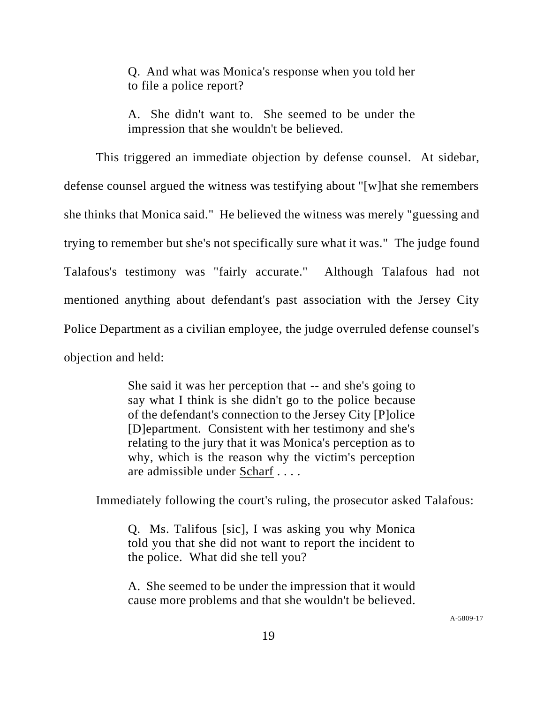Q. And what was Monica's response when you told her to file a police report?

A. She didn't want to. She seemed to be under the impression that she wouldn't be believed.

This triggered an immediate objection by defense counsel. At sidebar, defense counsel argued the witness was testifying about "[w]hat she remembers she thinks that Monica said." He believed the witness was merely "guessing and trying to remember but she's not specifically sure what it was." The judge found Talafous's testimony was "fairly accurate." Although Talafous had not mentioned anything about defendant's past association with the Jersey City Police Department as a civilian employee, the judge overruled defense counsel's objection and held:

> She said it was her perception that -- and she's going to say what I think is she didn't go to the police because of the defendant's connection to the Jersey City [P]olice [D]epartment. Consistent with her testimony and she's relating to the jury that it was Monica's perception as to why, which is the reason why the victim's perception are admissible under Scharf . . . .

Immediately following the court's ruling, the prosecutor asked Talafous:

Q. Ms. Talifous [sic], I was asking you why Monica told you that she did not want to report the incident to the police. What did she tell you?

A. She seemed to be under the impression that it would cause more problems and that she wouldn't be believed.

A[-5809-17](#page-0-0)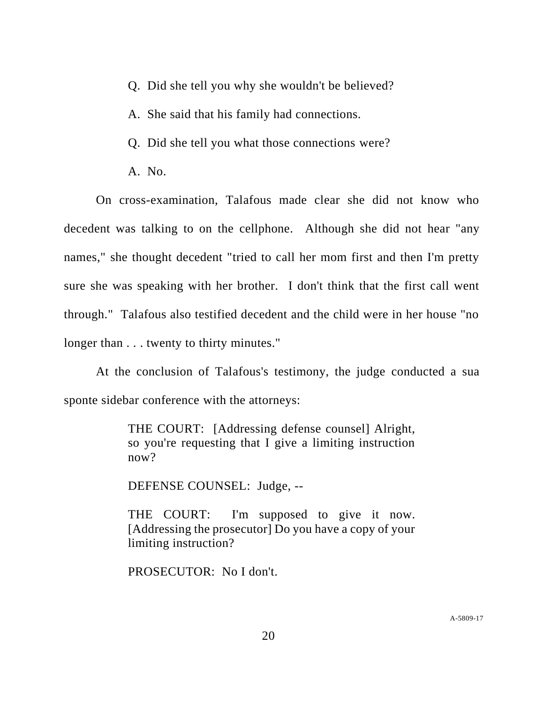- Q. Did she tell you why she wouldn't be believed?
- A. She said that his family had connections.
- Q. Did she tell you what those connections were?
- A. No.

On cross-examination, Talafous made clear she did not know who decedent was talking to on the cellphone. Although she did not hear "any names," she thought decedent "tried to call her mom first and then I'm pretty sure she was speaking with her brother. I don't think that the first call went through." Talafous also testified decedent and the child were in her house "no longer than  $\dots$  twenty to thirty minutes."

At the conclusion of Talafous's testimony, the judge conducted a sua sponte sidebar conference with the attorneys:

> THE COURT: [Addressing defense counsel] Alright, so you're requesting that I give a limiting instruction now?

DEFENSE COUNSEL: Judge, --

THE COURT: I'm supposed to give it now. [Addressing the prosecutor] Do you have a copy of your limiting instruction?

PROSECUTOR: No I don't.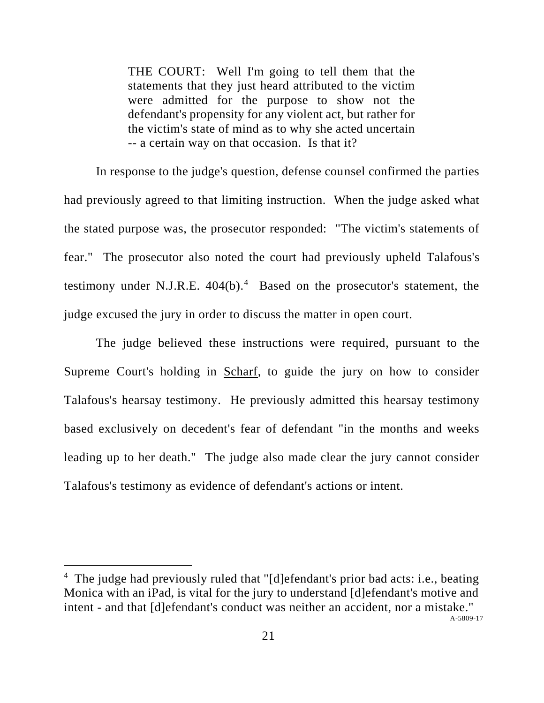THE COURT: Well I'm going to tell them that the statements that they just heard attributed to the victim were admitted for the purpose to show not the defendant's propensity for any violent act, but rather for the victim's state of mind as to why she acted uncertain -- a certain way on that occasion. Is that it?

In response to the judge's question, defense counsel confirmed the parties had previously agreed to that limiting instruction. When the judge asked what the stated purpose was, the prosecutor responded: "The victim's statements of fear." The prosecutor also noted the court had previously upheld Talafous's testimony under N.J.R.E.  $404(b)$ <sup>4</sup> Based on the prosecutor's statement, the judge excused the jury in order to discuss the matter in open court.

The judge believed these instructions were required, pursuant to the Supreme Court's holding in Scharf, to guide the jury on how to consider Talafous's hearsay testimony. He previously admitted this hearsay testimony based exclusively on decedent's fear of defendant "in the months and weeks leading up to her death." The judge also made clear the jury cannot consider Talafous's testimony as evidence of defendant's actions or intent.

A[-5809-17](#page-0-0) <sup>4</sup> The judge had previously ruled that "[d]efendant's prior bad acts: i.e., beating Monica with an iPad, is vital for the jury to understand [d]efendant's motive and intent - and that [d]efendant's conduct was neither an accident, nor a mistake."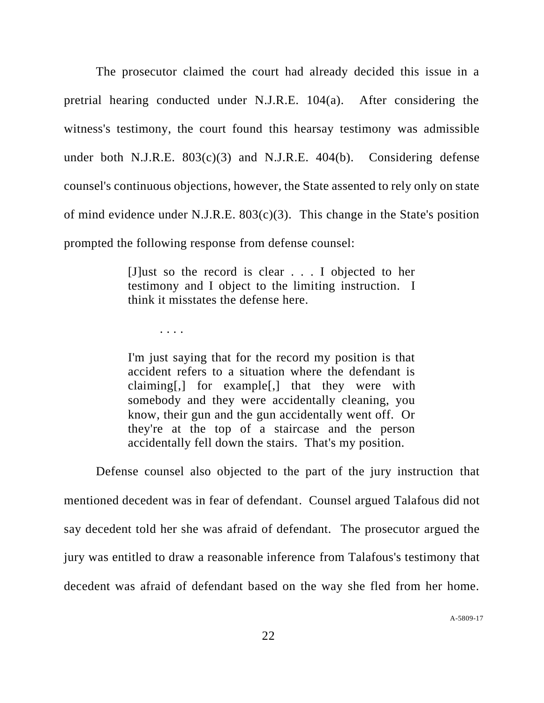The prosecutor claimed the court had already decided this issue in a pretrial hearing conducted under N.J.R.E. 104(a). After considering the witness's testimony, the court found this hearsay testimony was admissible under both N.J.R.E. 803(c)(3) and N.J.R.E. 404(b). Considering defense counsel's continuous objections, however, the State assented to rely only on state of mind evidence under N.J.R.E.  $803(c)(3)$ . This change in the State's position prompted the following response from defense counsel:

> [J]ust so the record is clear . . . I objected to her testimony and I object to the limiting instruction. I think it misstates the defense here.

> > . . . .

I'm just saying that for the record my position is that accident refers to a situation where the defendant is claiming[,] for example[,] that they were with somebody and they were accidentally cleaning, you know, their gun and the gun accidentally went off. Or they're at the top of a staircase and the person accidentally fell down the stairs. That's my position.

Defense counsel also objected to the part of the jury instruction that mentioned decedent was in fear of defendant. Counsel argued Talafous did not say decedent told her she was afraid of defendant. The prosecutor argued the jury was entitled to draw a reasonable inference from Talafous's testimony that decedent was afraid of defendant based on the way she fled from her home.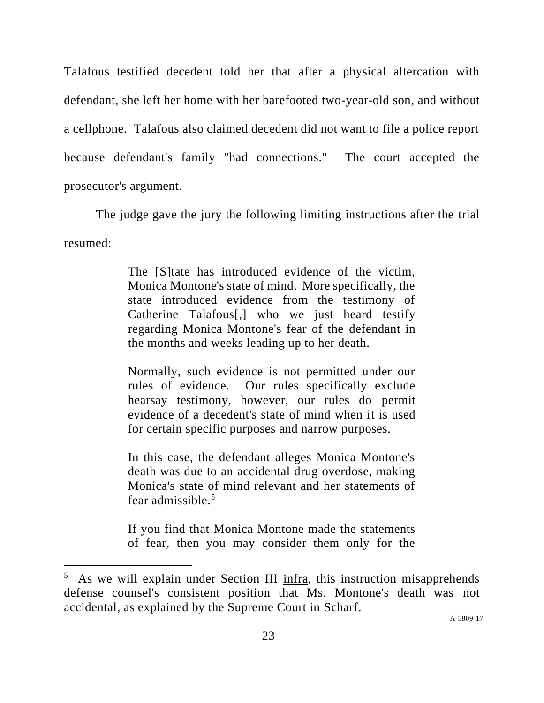Talafous testified decedent told her that after a physical altercation with defendant, she left her home with her barefooted two-year-old son, and without a cellphone. Talafous also claimed decedent did not want to file a police report because defendant's family "had connections." The court accepted the prosecutor's argument.

The judge gave the jury the following limiting instructions after the trial resumed:

> The [S]tate has introduced evidence of the victim, Monica Montone's state of mind. More specifically, the state introduced evidence from the testimony of Catherine Talafous[,] who we just heard testify regarding Monica Montone's fear of the defendant in the months and weeks leading up to her death.

> Normally, such evidence is not permitted under our rules of evidence. Our rules specifically exclude hearsay testimony, however, our rules do permit evidence of a decedent's state of mind when it is used for certain specific purposes and narrow purposes.

> In this case, the defendant alleges Monica Montone's death was due to an accidental drug overdose, making Monica's state of mind relevant and her statements of fear admissible.<sup>5</sup>

> If you find that Monica Montone made the statements of fear, then you may consider them only for the

<sup>5</sup> As we will explain under Section III infra, this instruction misapprehends defense counsel's consistent position that Ms. Montone's death was not accidental, as explained by the Supreme Court in Scharf.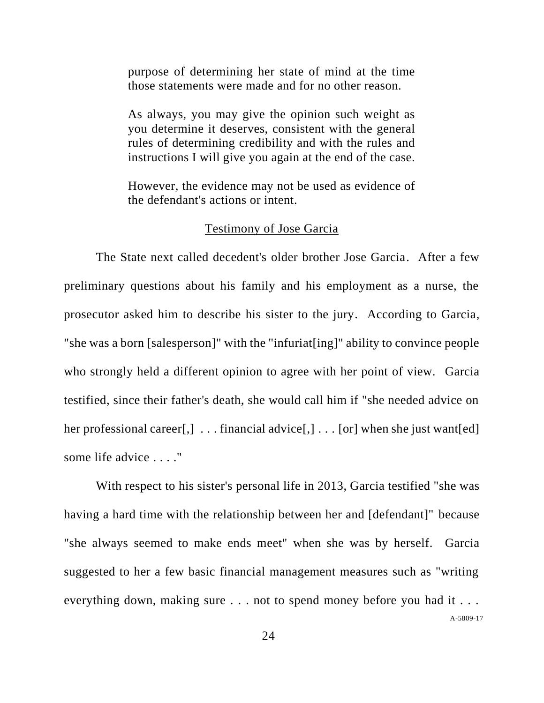purpose of determining her state of mind at the time those statements were made and for no other reason.

As always, you may give the opinion such weight as you determine it deserves, consistent with the general rules of determining credibility and with the rules and instructions I will give you again at the end of the case.

However, the evidence may not be used as evidence of the defendant's actions or intent.

## Testimony of Jose Garcia

The State next called decedent's older brother Jose Garcia. After a few preliminary questions about his family and his employment as a nurse, the prosecutor asked him to describe his sister to the jury. According to Garcia, "she was a born [salesperson]" with the "infuriat[ing]" ability to convince people who strongly held a different opinion to agree with her point of view. Garcia testified, since their father's death, she would call him if "she needed advice on her professional career[,]  $\dots$  financial advice[,]  $\dots$  [or] when she just want[ed] some life advice . . . ."

A[-5809-17](#page-0-0) With respect to his sister's personal life in 2013, Garcia testified "she was having a hard time with the relationship between her and [defendant]" because "she always seemed to make ends meet" when she was by herself. Garcia suggested to her a few basic financial management measures such as "writing everything down, making sure . . . not to spend money before you had it . . .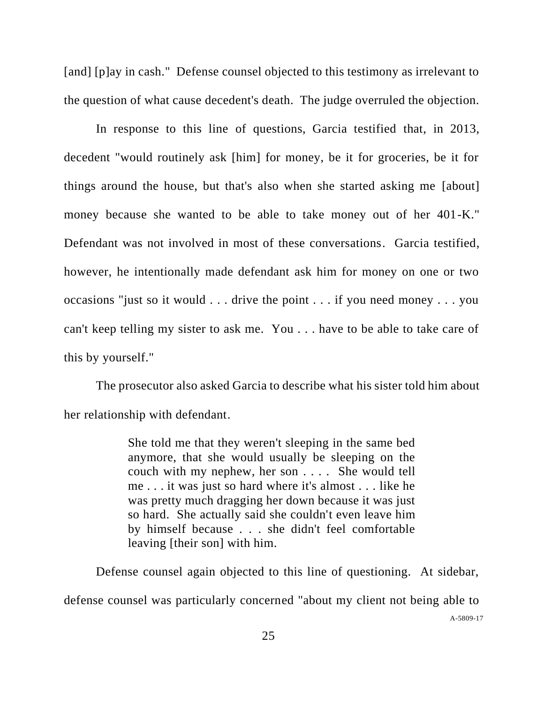[and] [p]ay in cash." Defense counsel objected to this testimony as irrelevant to the question of what cause decedent's death. The judge overruled the objection.

In response to this line of questions, Garcia testified that, in 2013, decedent "would routinely ask [him] for money, be it for groceries, be it for things around the house, but that's also when she started asking me [about] money because she wanted to be able to take money out of her 401-K." Defendant was not involved in most of these conversations. Garcia testified, however, he intentionally made defendant ask him for money on one or two occasions "just so it would . . . drive the point . . . if you need money . . . you can't keep telling my sister to ask me. You . . . have to be able to take care of this by yourself."

The prosecutor also asked Garcia to describe what his sister told him about her relationship with defendant.

> She told me that they weren't sleeping in the same bed anymore, that she would usually be sleeping on the couch with my nephew, her son . . . . She would tell me . . . it was just so hard where it's almost . . . like he was pretty much dragging her down because it was just so hard. She actually said she couldn't even leave him by himself because . . . she didn't feel comfortable leaving [their son] with him.

Defense counsel again objected to this line of questioning. At sidebar,

A[-5809-17](#page-0-0) defense counsel was particularly concerned "about my client not being able to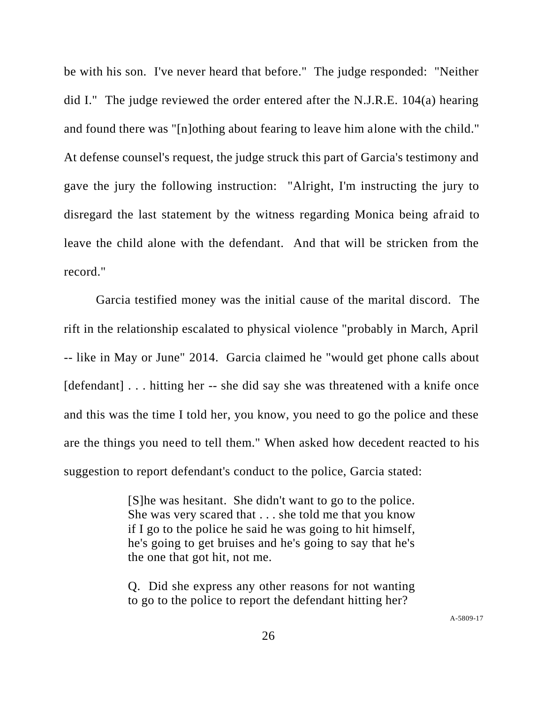be with his son. I've never heard that before." The judge responded: "Neither did I." The judge reviewed the order entered after the N.J.R.E. 104(a) hearing and found there was "[n]othing about fearing to leave him alone with the child." At defense counsel's request, the judge struck this part of Garcia's testimony and gave the jury the following instruction: "Alright, I'm instructing the jury to disregard the last statement by the witness regarding Monica being afraid to leave the child alone with the defendant. And that will be stricken from the record."

Garcia testified money was the initial cause of the marital discord. The rift in the relationship escalated to physical violence "probably in March, April -- like in May or June" 2014. Garcia claimed he "would get phone calls about [defendant] . . . hitting her -- she did say she was threatened with a knife once and this was the time I told her, you know, you need to go the police and these are the things you need to tell them." When asked how decedent reacted to his suggestion to report defendant's conduct to the police, Garcia stated:

> [S]he was hesitant. She didn't want to go to the police. She was very scared that . . . she told me that you know if I go to the police he said he was going to hit himself, he's going to get bruises and he's going to say that he's the one that got hit, not me.

> Q. Did she express any other reasons for not wanting to go to the police to report the defendant hitting her?

> > A[-5809-17](#page-0-0)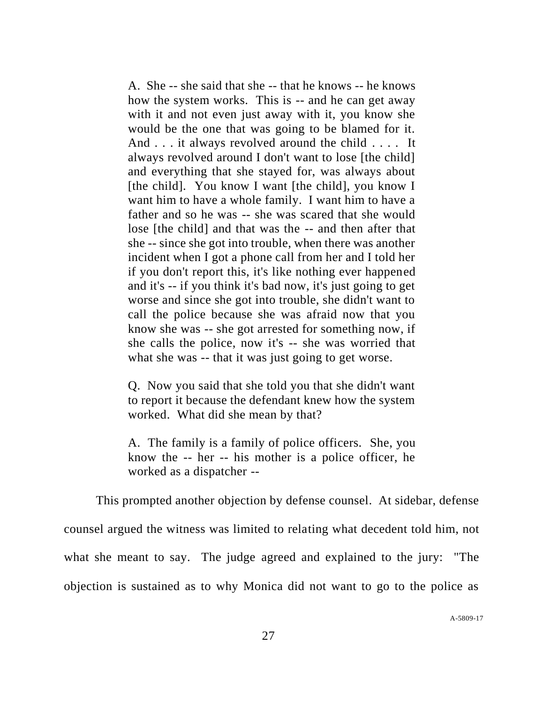A. She -- she said that she -- that he knows -- he knows how the system works. This is -- and he can get away with it and not even just away with it, you know she would be the one that was going to be blamed for it. And . . . it always revolved around the child . . . . It always revolved around I don't want to lose [the child] and everything that she stayed for, was always about [the child]. You know I want [the child], you know I want him to have a whole family. I want him to have a father and so he was -- she was scared that she would lose [the child] and that was the -- and then after that she -- since she got into trouble, when there was another incident when I got a phone call from her and I told her if you don't report this, it's like nothing ever happened and it's -- if you think it's bad now, it's just going to get worse and since she got into trouble, she didn't want to call the police because she was afraid now that you know she was -- she got arrested for something now, if she calls the police, now it's -- she was worried that what she was -- that it was just going to get worse.

Q. Now you said that she told you that she didn't want to report it because the defendant knew how the system worked. What did she mean by that?

A. The family is a family of police officers. She, you know the -- her -- his mother is a police officer, he worked as a dispatcher --

This prompted another objection by defense counsel. At sidebar, defense counsel argued the witness was limited to relating what decedent told him, not what she meant to say. The judge agreed and explained to the jury: "The objection is sustained as to why Monica did not want to go to the police as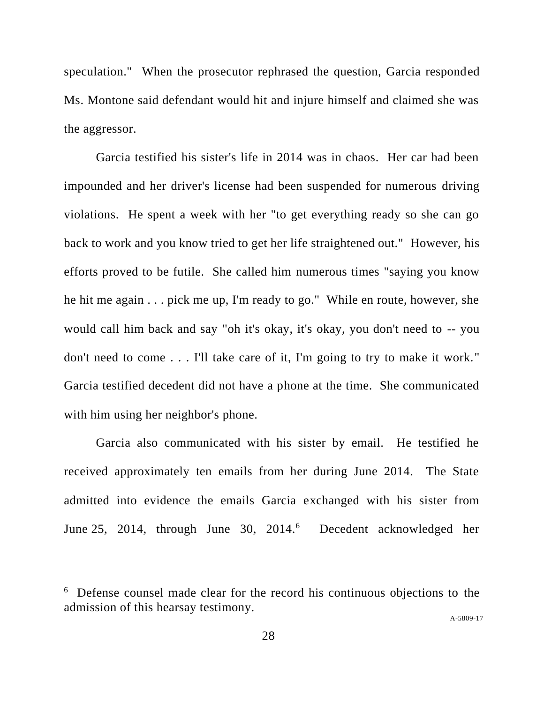speculation." When the prosecutor rephrased the question, Garcia responded Ms. Montone said defendant would hit and injure himself and claimed she was the aggressor.

Garcia testified his sister's life in 2014 was in chaos. Her car had been impounded and her driver's license had been suspended for numerous driving violations. He spent a week with her "to get everything ready so she can go back to work and you know tried to get her life straightened out." However, his efforts proved to be futile. She called him numerous times "saying you know he hit me again . . . pick me up, I'm ready to go." While en route, however, she would call him back and say "oh it's okay, it's okay, you don't need to -- you don't need to come . . . I'll take care of it, I'm going to try to make it work." Garcia testified decedent did not have a phone at the time. She communicated with him using her neighbor's phone.

Garcia also communicated with his sister by email. He testified he received approximately ten emails from her during June 2014. The State admitted into evidence the emails Garcia exchanged with his sister from June 25, 2014, through June 30, 2014.<sup>6</sup> Decedent acknowledged her

A[-5809-17](#page-0-0)

<sup>6</sup> Defense counsel made clear for the record his continuous objections to the admission of this hearsay testimony.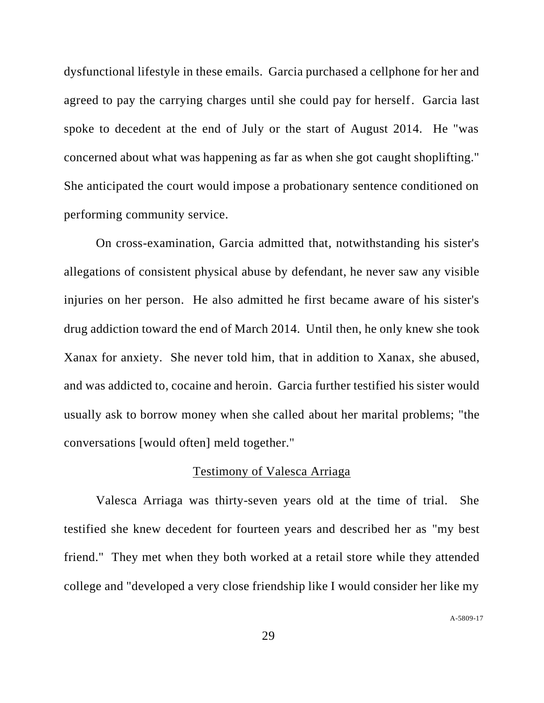dysfunctional lifestyle in these emails. Garcia purchased a cellphone for her and agreed to pay the carrying charges until she could pay for herself. Garcia last spoke to decedent at the end of July or the start of August 2014. He "was concerned about what was happening as far as when she got caught shoplifting." She anticipated the court would impose a probationary sentence conditioned on performing community service.

On cross-examination, Garcia admitted that, notwithstanding his sister's allegations of consistent physical abuse by defendant, he never saw any visible injuries on her person. He also admitted he first became aware of his sister's drug addiction toward the end of March 2014. Until then, he only knew she took Xanax for anxiety. She never told him, that in addition to Xanax, she abused, and was addicted to, cocaine and heroin. Garcia further testified his sister would usually ask to borrow money when she called about her marital problems; "the conversations [would often] meld together."

## Testimony of Valesca Arriaga

Valesca Arriaga was thirty-seven years old at the time of trial. She testified she knew decedent for fourteen years and described her as "my best friend." They met when they both worked at a retail store while they attended college and "developed a very close friendship like I would consider her like my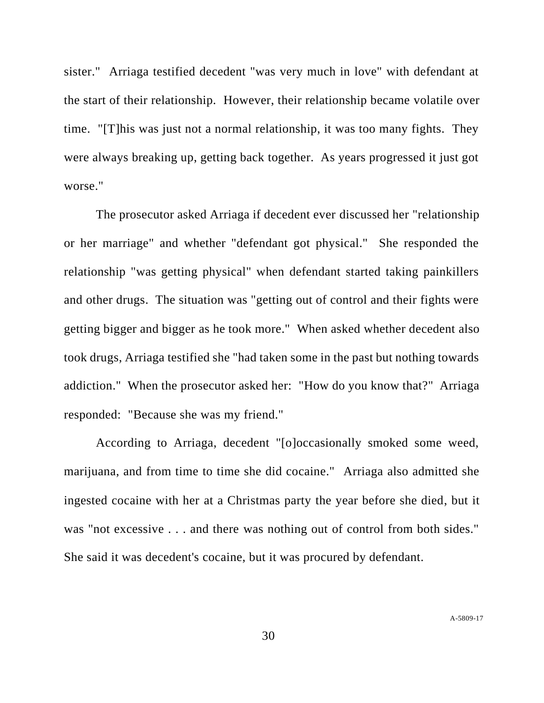sister." Arriaga testified decedent "was very much in love" with defendant at the start of their relationship. However, their relationship became volatile over time. "[T]his was just not a normal relationship, it was too many fights. They were always breaking up, getting back together. As years progressed it just got worse."

The prosecutor asked Arriaga if decedent ever discussed her "relationship or her marriage" and whether "defendant got physical." She responded the relationship "was getting physical" when defendant started taking painkillers and other drugs. The situation was "getting out of control and their fights were getting bigger and bigger as he took more." When asked whether decedent also took drugs, Arriaga testified she "had taken some in the past but nothing towards addiction." When the prosecutor asked her: "How do you know that?" Arriaga responded: "Because she was my friend."

According to Arriaga, decedent "[o]occasionally smoked some weed, marijuana, and from time to time she did cocaine." Arriaga also admitted she ingested cocaine with her at a Christmas party the year before she died, but it was "not excessive . . . and there was nothing out of control from both sides." She said it was decedent's cocaine, but it was procured by defendant.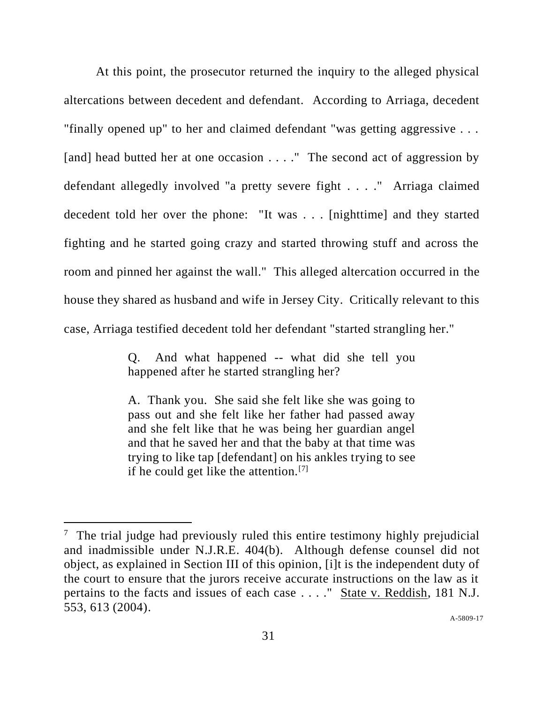At this point, the prosecutor returned the inquiry to the alleged physical altercations between decedent and defendant. According to Arriaga, decedent "finally opened up" to her and claimed defendant "was getting aggressive . . . [and] head butted her at one occasion . . . ." The second act of aggression by defendant allegedly involved "a pretty severe fight . . . ." Arriaga claimed decedent told her over the phone: "It was . . . [nighttime] and they started fighting and he started going crazy and started throwing stuff and across the room and pinned her against the wall." This alleged altercation occurred in the house they shared as husband and wife in Jersey City. Critically relevant to this case, Arriaga testified decedent told her defendant "started strangling her."

> Q. And what happened -- what did she tell you happened after he started strangling her?

> A. Thank you. She said she felt like she was going to pass out and she felt like her father had passed away and she felt like that he was being her guardian angel and that he saved her and that the baby at that time was trying to like tap [defendant] on his ankles trying to see if he could get like the attention.[7]

A[-5809-17](#page-0-0)

 $<sup>7</sup>$  The trial judge had previously ruled this entire testimony highly prejudicial</sup> and inadmissible under N.J.R.E. 404(b). Although defense counsel did not object, as explained in Section III of this opinion, [i]t is the independent duty of the court to ensure that the jurors receive accurate instructions on the law as it pertains to the facts and issues of each case . . . ." State v. Reddish, 181 N.J. 553, 613 (2004).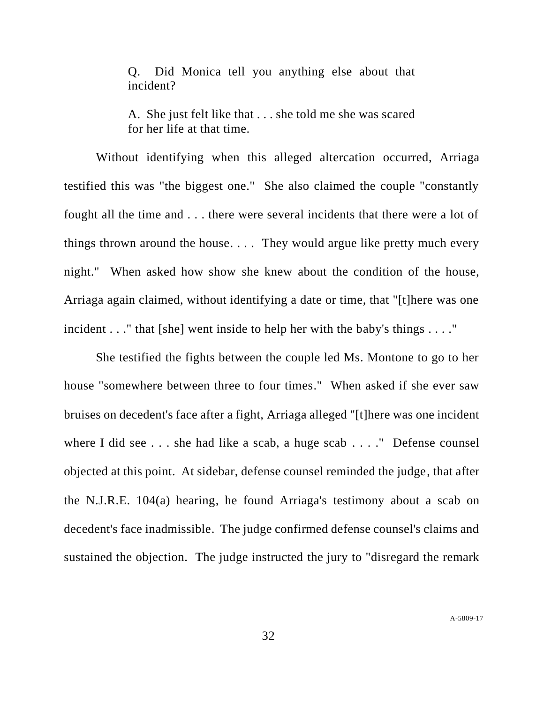Q. Did Monica tell you anything else about that incident?

A. She just felt like that . . . she told me she was scared for her life at that time.

Without identifying when this alleged altercation occurred, Arriaga testified this was "the biggest one." She also claimed the couple "constantly fought all the time and . . . there were several incidents that there were a lot of things thrown around the house. . . . They would argue like pretty much every night." When asked how show she knew about the condition of the house, Arriaga again claimed, without identifying a date or time, that "[t]here was one incident . . ." that [she] went inside to help her with the baby's things . . . ."

She testified the fights between the couple led Ms. Montone to go to her house "somewhere between three to four times." When asked if she ever saw bruises on decedent's face after a fight, Arriaga alleged "[t]here was one incident where I did see . . . she had like a scab, a huge scab . . . ." Defense counsel objected at this point. At sidebar, defense counsel reminded the judge, that after the N.J.R.E. 104(a) hearing, he found Arriaga's testimony about a scab on decedent's face inadmissible. The judge confirmed defense counsel's claims and sustained the objection. The judge instructed the jury to "disregard the remark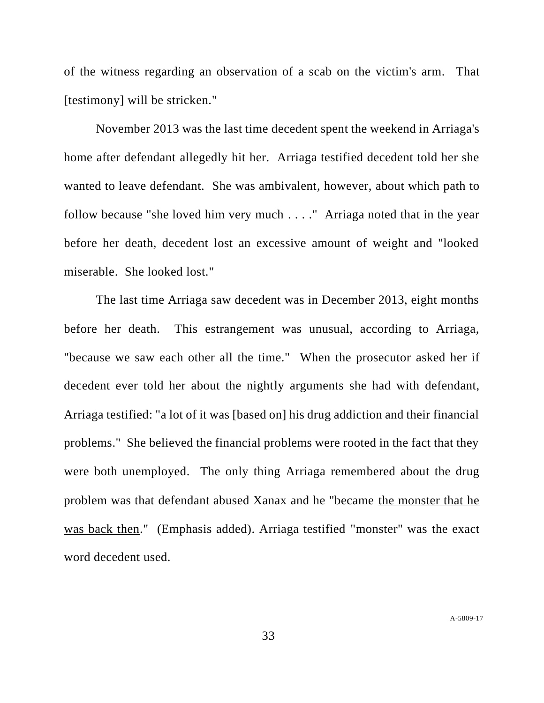of the witness regarding an observation of a scab on the victim's arm. That [testimony] will be stricken."

November 2013 was the last time decedent spent the weekend in Arriaga's home after defendant allegedly hit her. Arriaga testified decedent told her she wanted to leave defendant. She was ambivalent, however, about which path to follow because "she loved him very much . . . ." Arriaga noted that in the year before her death, decedent lost an excessive amount of weight and "looked miserable. She looked lost."

The last time Arriaga saw decedent was in December 2013, eight months before her death. This estrangement was unusual, according to Arriaga, "because we saw each other all the time." When the prosecutor asked her if decedent ever told her about the nightly arguments she had with defendant, Arriaga testified: "a lot of it was [based on] his drug addiction and their financial problems." She believed the financial problems were rooted in the fact that they were both unemployed. The only thing Arriaga remembered about the drug problem was that defendant abused Xanax and he "became the monster that he was back then." (Emphasis added). Arriaga testified "monster" was the exact word decedent used.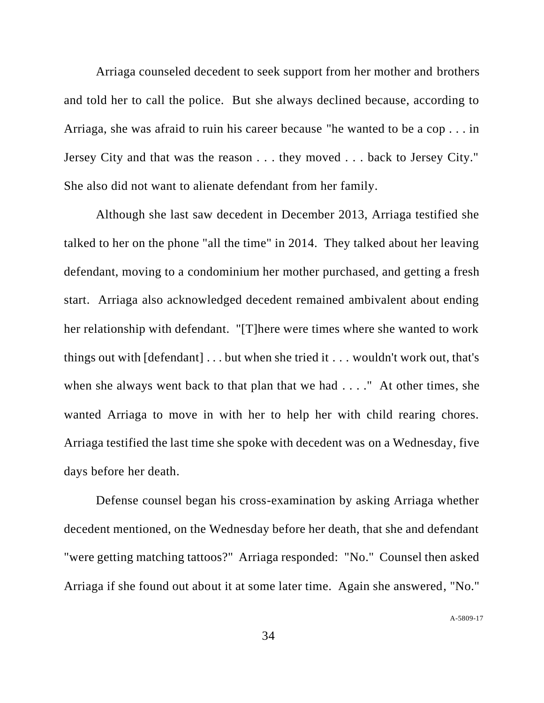Arriaga counseled decedent to seek support from her mother and brothers and told her to call the police. But she always declined because, according to Arriaga, she was afraid to ruin his career because "he wanted to be a cop . . . in Jersey City and that was the reason . . . they moved . . . back to Jersey City." She also did not want to alienate defendant from her family.

Although she last saw decedent in December 2013, Arriaga testified she talked to her on the phone "all the time" in 2014. They talked about her leaving defendant, moving to a condominium her mother purchased, and getting a fresh start. Arriaga also acknowledged decedent remained ambivalent about ending her relationship with defendant. "[T]here were times where she wanted to work things out with  $\lceil \text{defendant} \rceil \dots$  but when she tried it  $\dots$  wouldn't work out, that's when she always went back to that plan that we had . . . ." At other times, she wanted Arriaga to move in with her to help her with child rearing chores. Arriaga testified the last time she spoke with decedent was on a Wednesday, five days before her death.

Defense counsel began his cross-examination by asking Arriaga whether decedent mentioned, on the Wednesday before her death, that she and defendant "were getting matching tattoos?" Arriaga responded: "No." Counsel then asked Arriaga if she found out about it at some later time. Again she answered, "No."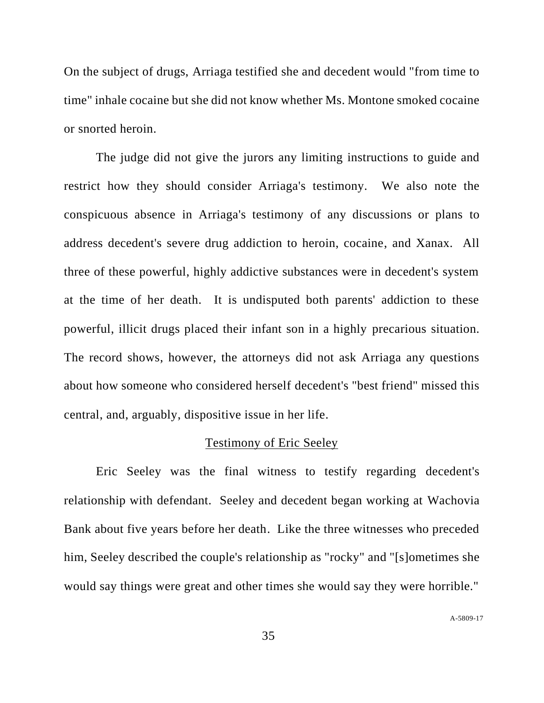On the subject of drugs, Arriaga testified she and decedent would "from time to time" inhale cocaine but she did not know whether Ms. Montone smoked cocaine or snorted heroin.

The judge did not give the jurors any limiting instructions to guide and restrict how they should consider Arriaga's testimony. We also note the conspicuous absence in Arriaga's testimony of any discussions or plans to address decedent's severe drug addiction to heroin, cocaine, and Xanax. All three of these powerful, highly addictive substances were in decedent's system at the time of her death. It is undisputed both parents' addiction to these powerful, illicit drugs placed their infant son in a highly precarious situation. The record shows, however, the attorneys did not ask Arriaga any questions about how someone who considered herself decedent's "best friend" missed this central, and, arguably, dispositive issue in her life.

#### Testimony of Eric Seeley

Eric Seeley was the final witness to testify regarding decedent's relationship with defendant. Seeley and decedent began working at Wachovia Bank about five years before her death. Like the three witnesses who preceded him, Seeley described the couple's relationship as "rocky" and "[s]ometimes she would say things were great and other times she would say they were horrible."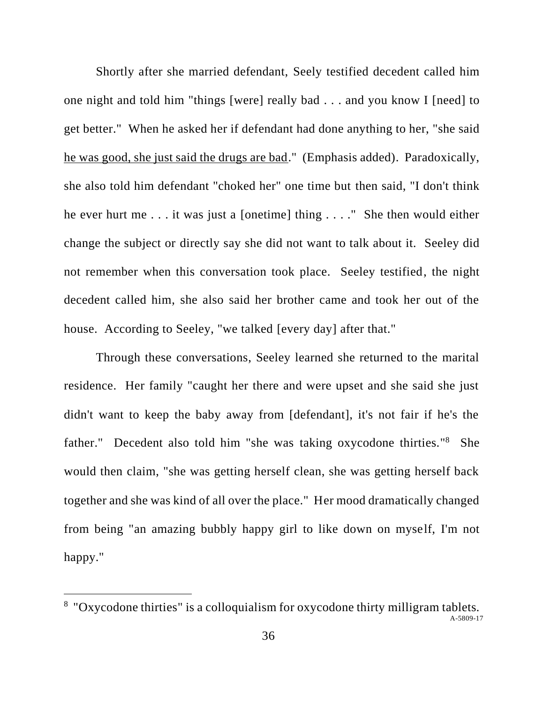Shortly after she married defendant, Seely testified decedent called him one night and told him "things [were] really bad . . . and you know I [need] to get better." When he asked her if defendant had done anything to her, "she said he was good, she just said the drugs are bad." (Emphasis added). Paradoxically, she also told him defendant "choked her" one time but then said, "I don't think he ever hurt me . . . it was just a [onetime] thing . . . ." She then would either change the subject or directly say she did not want to talk about it. Seeley did not remember when this conversation took place. Seeley testified, the night decedent called him, she also said her brother came and took her out of the house. According to Seeley, "we talked [every day] after that."

Through these conversations, Seeley learned she returned to the marital residence. Her family "caught her there and were upset and she said she just didn't want to keep the baby away from [defendant], it's not fair if he's the father." Decedent also told him "she was taking oxycodone thirties."<sup>8</sup> She would then claim, "she was getting herself clean, she was getting herself back together and she was kind of all over the place." Her mood dramatically changed from being "an amazing bubbly happy girl to like down on myself, I'm not happy."

<sup>&</sup>lt;sup>8</sup> "Oxycodone thirties" is a colloquialism for oxycodone thirty milligram tablets.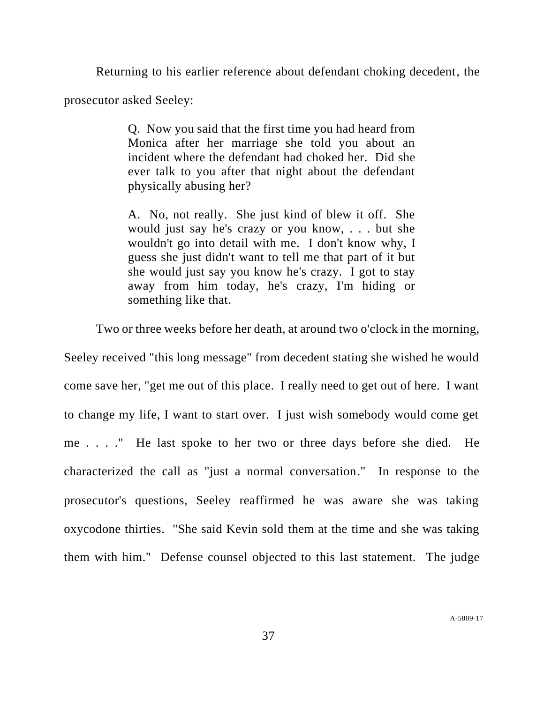Returning to his earlier reference about defendant choking decedent, the prosecutor asked Seeley:

> Q. Now you said that the first time you had heard from Monica after her marriage she told you about an incident where the defendant had choked her. Did she ever talk to you after that night about the defendant physically abusing her?

> A. No, not really. She just kind of blew it off. She would just say he's crazy or you know, . . . but she wouldn't go into detail with me. I don't know why, I guess she just didn't want to tell me that part of it but she would just say you know he's crazy. I got to stay away from him today, he's crazy, I'm hiding or something like that.

Two or three weeks before her death, at around two o'clock in the morning,

Seeley received "this long message" from decedent stating she wished he would come save her, "get me out of this place. I really need to get out of here. I want to change my life, I want to start over. I just wish somebody would come get me . . . ." He last spoke to her two or three days before she died. He characterized the call as "just a normal conversation." In response to the prosecutor's questions, Seeley reaffirmed he was aware she was taking oxycodone thirties. "She said Kevin sold them at the time and she was taking them with him." Defense counsel objected to this last statement. The judge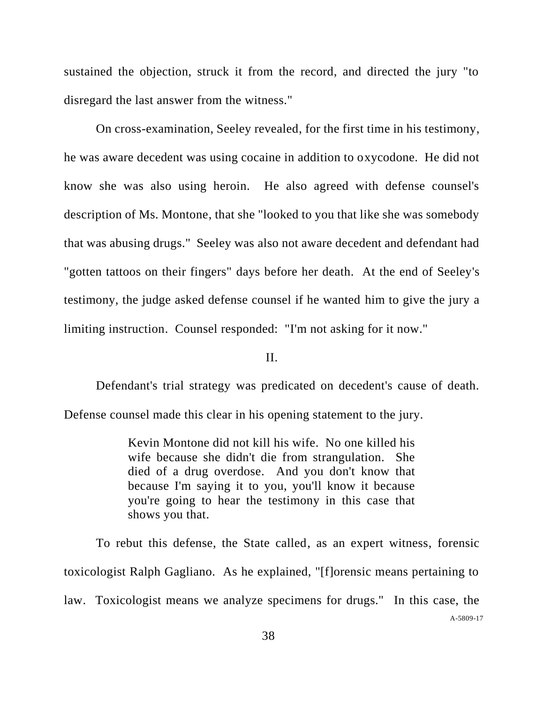sustained the objection, struck it from the record, and directed the jury "to disregard the last answer from the witness."

On cross-examination, Seeley revealed, for the first time in his testimony, he was aware decedent was using cocaine in addition to oxycodone. He did not know she was also using heroin. He also agreed with defense counsel's description of Ms. Montone, that she "looked to you that like she was somebody that was abusing drugs." Seeley was also not aware decedent and defendant had "gotten tattoos on their fingers" days before her death. At the end of Seeley's testimony, the judge asked defense counsel if he wanted him to give the jury a limiting instruction. Counsel responded: "I'm not asking for it now."

## II.

Defendant's trial strategy was predicated on decedent's cause of death.

Defense counsel made this clear in his opening statement to the jury.

Kevin Montone did not kill his wife. No one killed his wife because she didn't die from strangulation. She died of a drug overdose. And you don't know that because I'm saying it to you, you'll know it because you're going to hear the testimony in this case that shows you that.

A[-5809-17](#page-0-0) To rebut this defense, the State called, as an expert witness, forensic toxicologist Ralph Gagliano. As he explained, "[f]orensic means pertaining to law. Toxicologist means we analyze specimens for drugs." In this case, the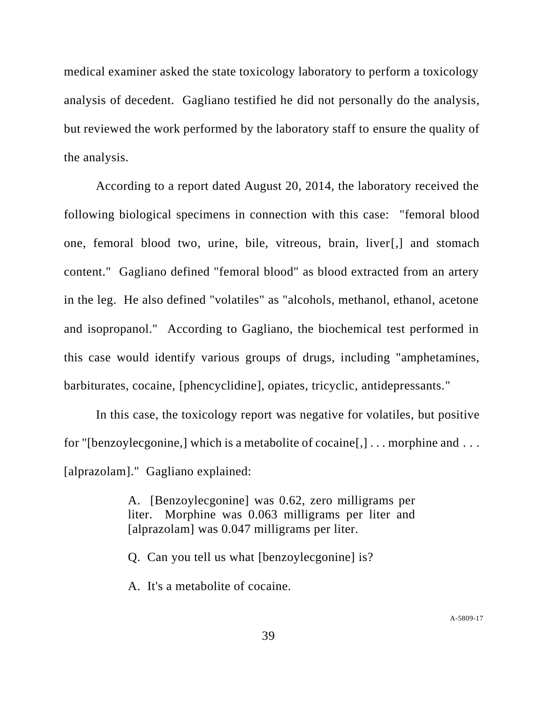medical examiner asked the state toxicology laboratory to perform a toxicology analysis of decedent. Gagliano testified he did not personally do the analysis, but reviewed the work performed by the laboratory staff to ensure the quality of the analysis.

According to a report dated August 20, 2014, the laboratory received the following biological specimens in connection with this case: "femoral blood one, femoral blood two, urine, bile, vitreous, brain, liver[,] and stomach content." Gagliano defined "femoral blood" as blood extracted from an artery in the leg. He also defined "volatiles" as "alcohols, methanol, ethanol, acetone and isopropanol." According to Gagliano, the biochemical test performed in this case would identify various groups of drugs, including "amphetamines, barbiturates, cocaine, [phencyclidine], opiates, tricyclic, antidepressants."

In this case, the toxicology report was negative for volatiles, but positive for "[benzoylecgonine,] which is a metabolite of cocaine[,] . . . morphine and . . . [alprazolam]." Gagliano explained:

> A. [Benzoylecgonine] was 0.62, zero milligrams per liter. Morphine was 0.063 milligrams per liter and [alprazolam] was 0.047 milligrams per liter.

Q. Can you tell us what [benzoylecgonine] is?

A. It's a metabolite of cocaine.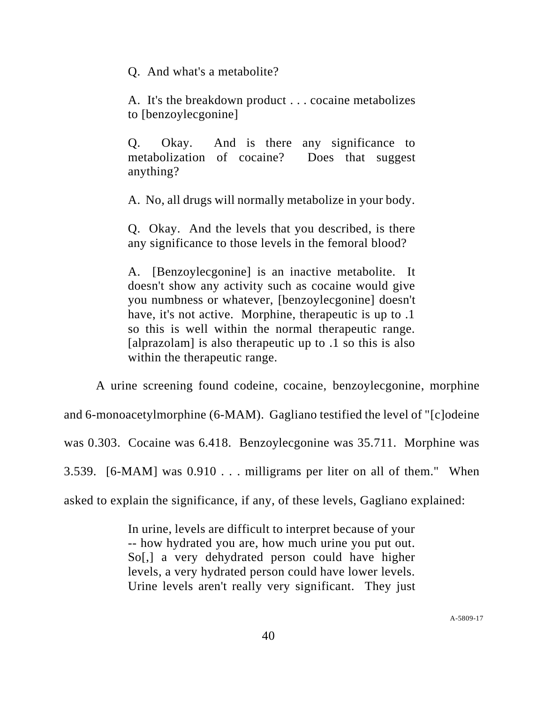Q. And what's a metabolite?

A. It's the breakdown product . . . cocaine metabolizes to [benzoylecgonine]

Q. Okay. And is there any significance to metabolization of cocaine? Does that suggest anything?

A. No, all drugs will normally metabolize in your body.

Q. Okay. And the levels that you described, is there any significance to those levels in the femoral blood?

A. [Benzoylecgonine] is an inactive metabolite. It doesn't show any activity such as cocaine would give you numbness or whatever, [benzoylecgonine] doesn't have, it's not active. Morphine, therapeutic is up to .1 so this is well within the normal therapeutic range. [alprazolam] is also the rapeutic up to .1 so this is also within the therapeutic range.

A urine screening found codeine, cocaine, benzoylecgonine, morphine and 6-monoacetylmorphine (6-MAM). Gagliano testified the level of "[c]odeine was 0.303. Cocaine was 6.418. Benzoylecgonine was 35.711. Morphine was 3.539. [6-MAM] was 0.910 . . . milligrams per liter on all of them." When asked to explain the significance, if any, of these levels, Gagliano explained:

> In urine, levels are difficult to interpret because of your -- how hydrated you are, how much urine you put out. So[,] a very dehydrated person could have higher levels, a very hydrated person could have lower levels. Urine levels aren't really very significant. They just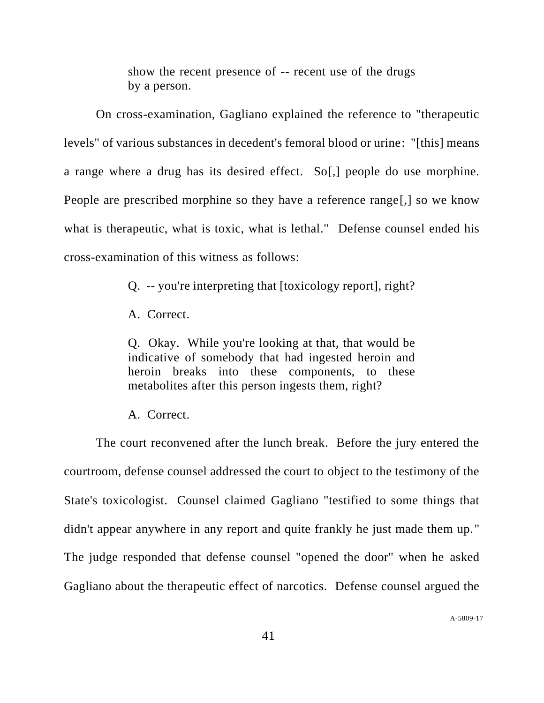show the recent presence of -- recent use of the drugs by a person.

On cross-examination, Gagliano explained the reference to "therapeutic levels" of various substances in decedent's femoral blood or urine: "[this] means a range where a drug has its desired effect. So[,] people do use morphine. People are prescribed morphine so they have a reference range[,] so we know what is therapeutic, what is toxic, what is lethal." Defense counsel ended his cross-examination of this witness as follows:

Q. -- you're interpreting that [toxicology report], right?

A. Correct.

Q. Okay. While you're looking at that, that would be indicative of somebody that had ingested heroin and heroin breaks into these components, to these metabolites after this person ingests them, right?

A. Correct.

The court reconvened after the lunch break. Before the jury entered the courtroom, defense counsel addressed the court to object to the testimony of the State's toxicologist. Counsel claimed Gagliano "testified to some things that didn't appear anywhere in any report and quite frankly he just made them up." The judge responded that defense counsel "opened the door" when he asked Gagliano about the therapeutic effect of narcotics. Defense counsel argued the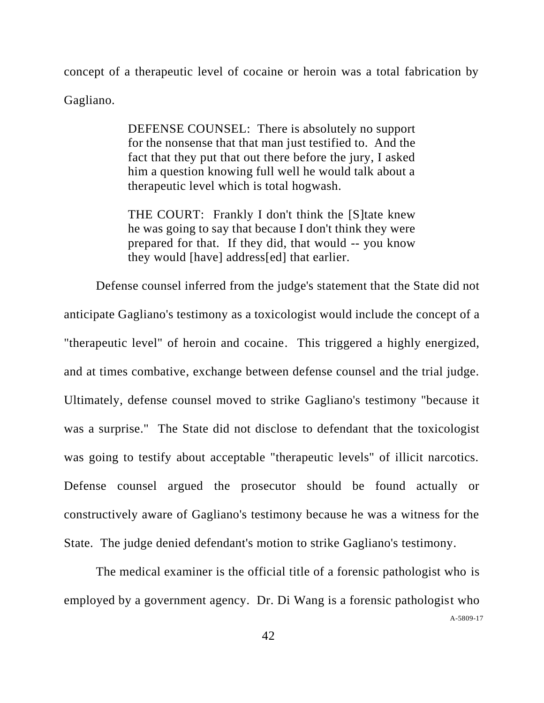concept of a therapeutic level of cocaine or heroin was a total fabrication by Gagliano.

> DEFENSE COUNSEL: There is absolutely no support for the nonsense that that man just testified to. And the fact that they put that out there before the jury, I asked him a question knowing full well he would talk about a therapeutic level which is total hogwash.

> THE COURT: Frankly I don't think the [S]tate knew he was going to say that because I don't think they were prepared for that. If they did, that would -- you know they would [have] address[ed] that earlier.

Defense counsel inferred from the judge's statement that the State did not anticipate Gagliano's testimony as a toxicologist would include the concept of a "therapeutic level" of heroin and cocaine. This triggered a highly energized, and at times combative, exchange between defense counsel and the trial judge. Ultimately, defense counsel moved to strike Gagliano's testimony "because it was a surprise." The State did not disclose to defendant that the toxicologist was going to testify about acceptable "therapeutic levels" of illicit narcotics. Defense counsel argued the prosecutor should be found actually or constructively aware of Gagliano's testimony because he was a witness for the State. The judge denied defendant's motion to strike Gagliano's testimony.

A[-5809-17](#page-0-0) The medical examiner is the official title of a forensic pathologist who is employed by a government agency. Dr. Di Wang is a forensic pathologist who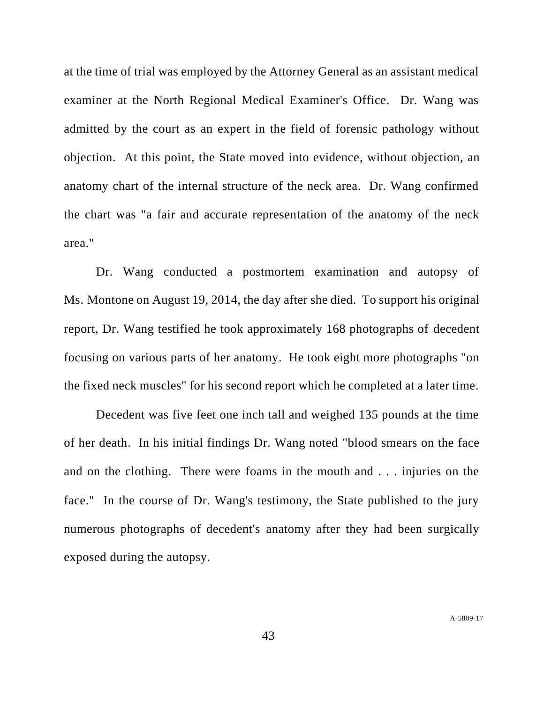at the time of trial was employed by the Attorney General as an assistant medical examiner at the North Regional Medical Examiner's Office. Dr. Wang was admitted by the court as an expert in the field of forensic pathology without objection. At this point, the State moved into evidence, without objection, an anatomy chart of the internal structure of the neck area. Dr. Wang confirmed the chart was "a fair and accurate representation of the anatomy of the neck area."

Dr. Wang conducted a postmortem examination and autopsy of Ms. Montone on August 19, 2014, the day after she died. To support his original report, Dr. Wang testified he took approximately 168 photographs of decedent focusing on various parts of her anatomy. He took eight more photographs "on the fixed neck muscles" for his second report which he completed at a later time.

Decedent was five feet one inch tall and weighed 135 pounds at the time of her death. In his initial findings Dr. Wang noted "blood smears on the face and on the clothing. There were foams in the mouth and . . . injuries on the face." In the course of Dr. Wang's testimony, the State published to the jury numerous photographs of decedent's anatomy after they had been surgically exposed during the autopsy.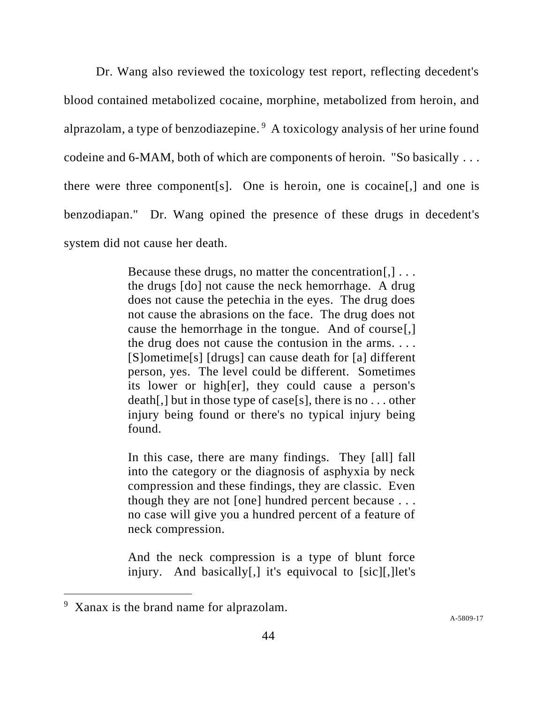Dr. Wang also reviewed the toxicology test report, reflecting decedent's blood contained metabolized cocaine, morphine, metabolized from heroin, and alprazolam, a type of benzodiazepine.<sup>9</sup> A toxicology analysis of her urine found codeine and 6-MAM, both of which are components of heroin. "So basically . . . there were three component[s]. One is heroin, one is cocaine[,] and one is benzodiapan." Dr. Wang opined the presence of these drugs in decedent's system did not cause her death.

> Because these drugs, no matter the concentration[,] ... the drugs [do] not cause the neck hemorrhage. A drug does not cause the petechia in the eyes. The drug does not cause the abrasions on the face. The drug does not cause the hemorrhage in the tongue. And of course[,] the drug does not cause the contusion in the arms. . . . [S]ometime[s] [drugs] can cause death for [a] different person, yes. The level could be different. Sometimes its lower or high[er], they could cause a person's death[,] but in those type of case[s], there is no . . . other injury being found or there's no typical injury being found.

> In this case, there are many findings. They [all] fall into the category or the diagnosis of asphyxia by neck compression and these findings, they are classic. Even though they are not [one] hundred percent because . . . no case will give you a hundred percent of a feature of neck compression.

> And the neck compression is a type of blunt force injury. And basically[,] it's equivocal to [sic][,]let's

<sup>&</sup>lt;sup>9</sup> Xanax is the brand name for alprazolam.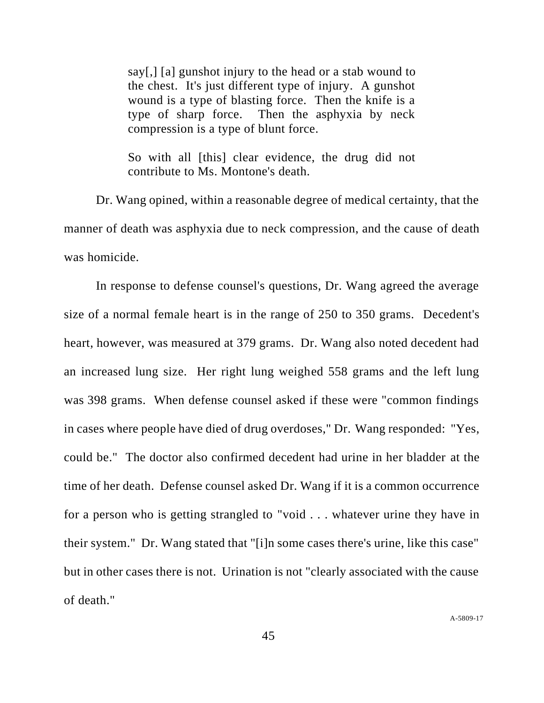say[,] [a] gunshot injury to the head or a stab wound to the chest. It's just different type of injury. A gunshot wound is a type of blasting force. Then the knife is a type of sharp force. Then the asphyxia by neck compression is a type of blunt force.

So with all [this] clear evidence, the drug did not contribute to Ms. Montone's death.

Dr. Wang opined, within a reasonable degree of medical certainty, that the manner of death was asphyxia due to neck compression, and the cause of death was homicide.

In response to defense counsel's questions, Dr. Wang agreed the average size of a normal female heart is in the range of 250 to 350 grams. Decedent's heart, however, was measured at 379 grams. Dr. Wang also noted decedent had an increased lung size. Her right lung weighed 558 grams and the left lung was 398 grams. When defense counsel asked if these were "common findings in cases where people have died of drug overdoses," Dr. Wang responded: "Yes, could be." The doctor also confirmed decedent had urine in her bladder at the time of her death. Defense counsel asked Dr. Wang if it is a common occurrence for a person who is getting strangled to "void . . . whatever urine they have in their system." Dr. Wang stated that "[i]n some cases there's urine, like this case" but in other cases there is not. Urination is not "clearly associated with the cause of death."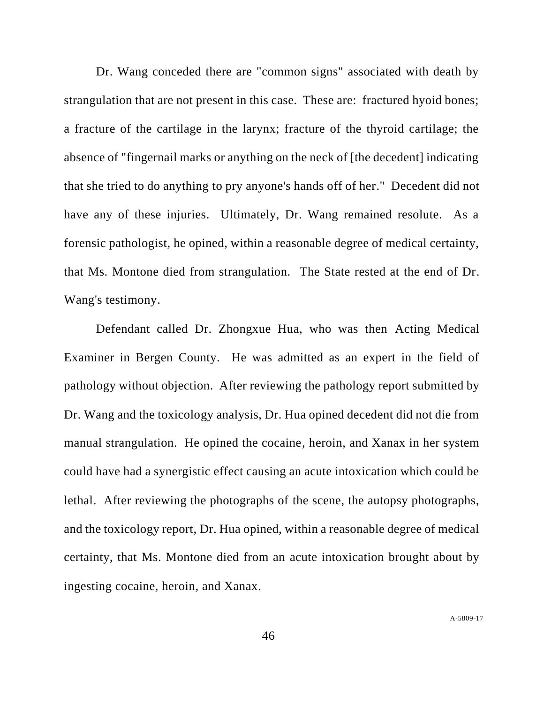Dr. Wang conceded there are "common signs" associated with death by strangulation that are not present in this case. These are: fractured hyoid bones; a fracture of the cartilage in the larynx; fracture of the thyroid cartilage; the absence of "fingernail marks or anything on the neck of [the decedent] indicating that she tried to do anything to pry anyone's hands off of her." Decedent did not have any of these injuries. Ultimately, Dr. Wang remained resolute. As a forensic pathologist, he opined, within a reasonable degree of medical certainty, that Ms. Montone died from strangulation. The State rested at the end of Dr. Wang's testimony.

Defendant called Dr. Zhongxue Hua, who was then Acting Medical Examiner in Bergen County. He was admitted as an expert in the field of pathology without objection. After reviewing the pathology report submitted by Dr. Wang and the toxicology analysis, Dr. Hua opined decedent did not die from manual strangulation. He opined the cocaine, heroin, and Xanax in her system could have had a synergistic effect causing an acute intoxication which could be lethal. After reviewing the photographs of the scene, the autopsy photographs, and the toxicology report, Dr. Hua opined, within a reasonable degree of medical certainty, that Ms. Montone died from an acute intoxication brought about by ingesting cocaine, heroin, and Xanax.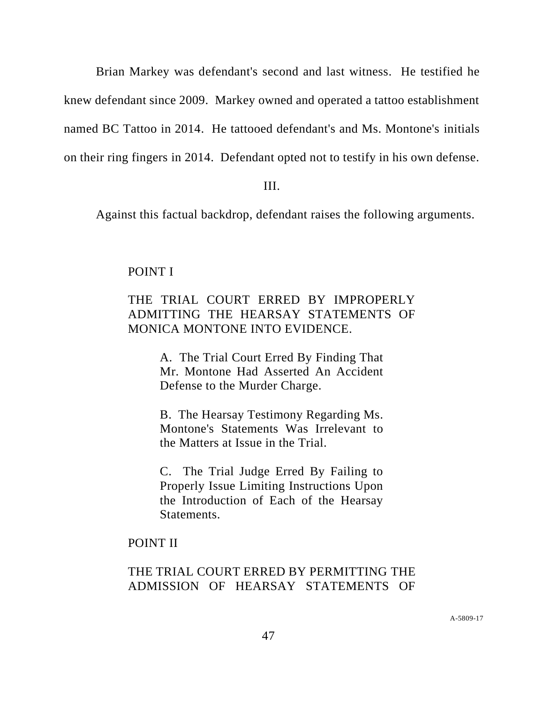Brian Markey was defendant's second and last witness. He testified he knew defendant since 2009. Markey owned and operated a tattoo establishment named BC Tattoo in 2014. He tattooed defendant's and Ms. Montone's initials on their ring fingers in 2014. Defendant opted not to testify in his own defense.

#### III.

Against this factual backdrop, defendant raises the following arguments.

## POINT I

# THE TRIAL COURT ERRED BY IMPROPERLY ADMITTING THE HEARSAY STATEMENTS OF MONICA MONTONE INTO EVIDENCE.

A. The Trial Court Erred By Finding That Mr. Montone Had Asserted An Accident Defense to the Murder Charge.

B. The Hearsay Testimony Regarding Ms. Montone's Statements Was Irrelevant to the Matters at Issue in the Trial.

C. The Trial Judge Erred By Failing to Properly Issue Limiting Instructions Upon the Introduction of Each of the Hearsay Statements.

# POINT II

# THE TRIAL COURT ERRED BY PERMITTING THE ADMISSION OF HEARSAY STATEMENTS OF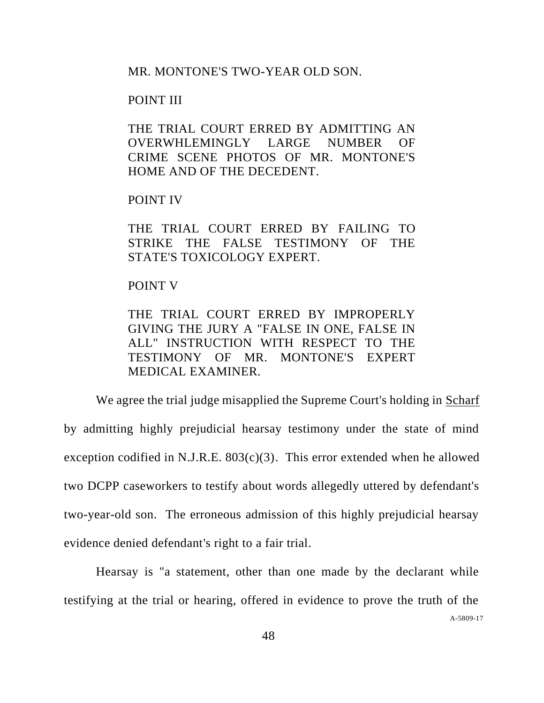MR. MONTONE'S TWO-YEAR OLD SON.

## POINT III

THE TRIAL COURT ERRED BY ADMITTING AN OVERWHLEMINGLY LARGE NUMBER OF CRIME SCENE PHOTOS OF MR. MONTONE'S HOME AND OF THE DECEDENT.

## POINT IV

THE TRIAL COURT ERRED BY FAILING TO STRIKE THE FALSE TESTIMONY OF THE STATE'S TOXICOLOGY EXPERT.

## POINT V

THE TRIAL COURT ERRED BY IMPROPERLY GIVING THE JURY A "FALSE IN ONE, FALSE IN ALL" INSTRUCTION WITH RESPECT TO THE TESTIMONY OF MR. MONTONE'S EXPERT MEDICAL EXAMINER.

We agree the trial judge misapplied the Supreme Court's holding in Scharf by admitting highly prejudicial hearsay testimony under the state of mind exception codified in N.J.R.E.  $803(c)(3)$ . This error extended when he allowed two DCPP caseworkers to testify about words allegedly uttered by defendant's two-year-old son. The erroneous admission of this highly prejudicial hearsay evidence denied defendant's right to a fair trial.

Hearsay is "a statement, other than one made by the declarant while testifying at the trial or hearing, offered in evidence to prove the truth of the

A[-5809-17](#page-0-0)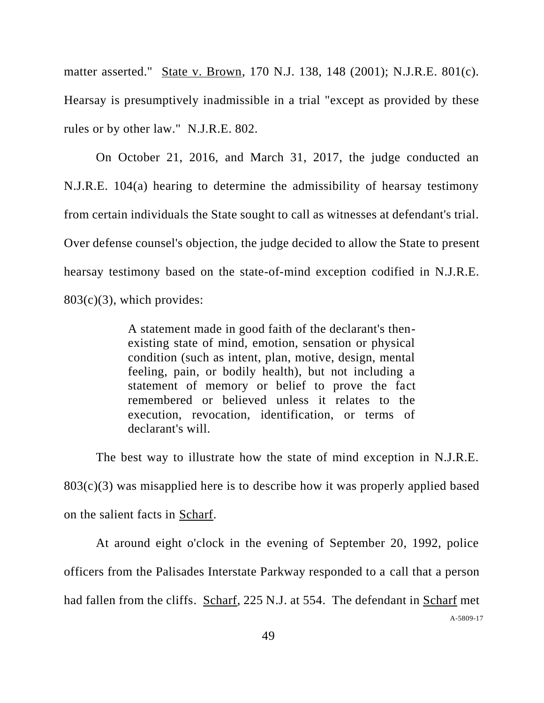matter asserted." State v. Brown, 170 N.J. 138, 148 (2001); N.J.R.E. 801(c). Hearsay is presumptively inadmissible in a trial "except as provided by these rules or by other law." N.J.R.E. 802.

On October 21, 2016, and March 31, 2017, the judge conducted an N.J.R.E. 104(a) hearing to determine the admissibility of hearsay testimony from certain individuals the State sought to call as witnesses at defendant's trial. Over defense counsel's objection, the judge decided to allow the State to present hearsay testimony based on the state-of-mind exception codified in N.J.R.E.  $803(c)(3)$ , which provides:

> A statement made in good faith of the declarant's thenexisting state of mind, emotion, sensation or physical condition (such as intent, plan, motive, design, mental feeling, pain, or bodily health), but not including a statement of memory or belief to prove the fact remembered or believed unless it relates to the execution, revocation, identification, or terms of declarant's will.

The best way to illustrate how the state of mind exception in N.J.R.E. 803(c)(3) was misapplied here is to describe how it was properly applied based on the salient facts in Scharf.

At around eight o'clock in the evening of September 20, 1992, police officers from the Palisades Interstate Parkway responded to a call that a person had fallen from the cliffs. Scharf, 225 N.J. at 554. The defendant in Scharf met

A[-5809-17](#page-0-0)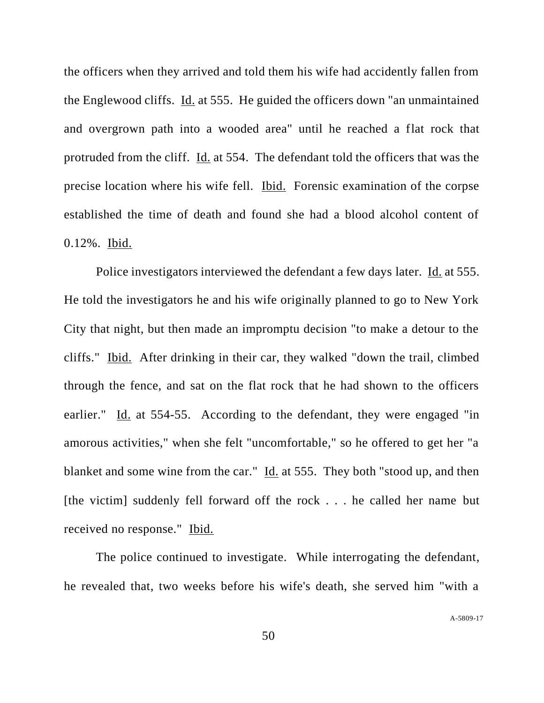the officers when they arrived and told them his wife had accidently fallen from the Englewood cliffs. Id. at 555. He guided the officers down "an unmaintained and overgrown path into a wooded area" until he reached a flat rock that protruded from the cliff. Id. at 554. The defendant told the officers that was the precise location where his wife fell. Ibid. Forensic examination of the corpse established the time of death and found she had a blood alcohol content of 0.12%. Ibid.

Police investigators interviewed the defendant a few days later. Id. at 555. He told the investigators he and his wife originally planned to go to New York City that night, but then made an impromptu decision "to make a detour to the cliffs." Ibid. After drinking in their car, they walked "down the trail, climbed through the fence, and sat on the flat rock that he had shown to the officers earlier." Id. at 554-55. According to the defendant, they were engaged "in amorous activities," when she felt "uncomfortable," so he offered to get her "a blanket and some wine from the car." Id. at 555. They both "stood up, and then [the victim] suddenly fell forward off the rock . . . he called her name but received no response." Ibid.

The police continued to investigate. While interrogating the defendant, he revealed that, two weeks before his wife's death, she served him "with a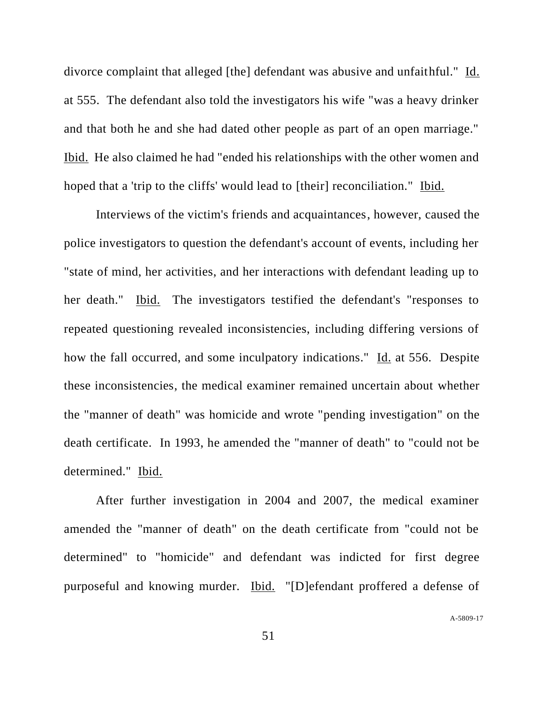divorce complaint that alleged [the] defendant was abusive and unfaithful." Id. at 555. The defendant also told the investigators his wife "was a heavy drinker and that both he and she had dated other people as part of an open marriage." Ibid. He also claimed he had "ended his relationships with the other women and hoped that a 'trip to the cliffs' would lead to [their] reconciliation." Ibid.

Interviews of the victim's friends and acquaintances, however, caused the police investigators to question the defendant's account of events, including her "state of mind, her activities, and her interactions with defendant leading up to her death." Ibid. The investigators testified the defendant's "responses to repeated questioning revealed inconsistencies, including differing versions of how the fall occurred, and some inculpatory indications." Id. at 556. Despite these inconsistencies, the medical examiner remained uncertain about whether the "manner of death" was homicide and wrote "pending investigation" on the death certificate. In 1993, he amended the "manner of death" to "could not be determined." Ibid.

After further investigation in 2004 and 2007, the medical examiner amended the "manner of death" on the death certificate from "could not be determined" to "homicide" and defendant was indicted for first degree purposeful and knowing murder. Ibid. "[D]efendant proffered a defense of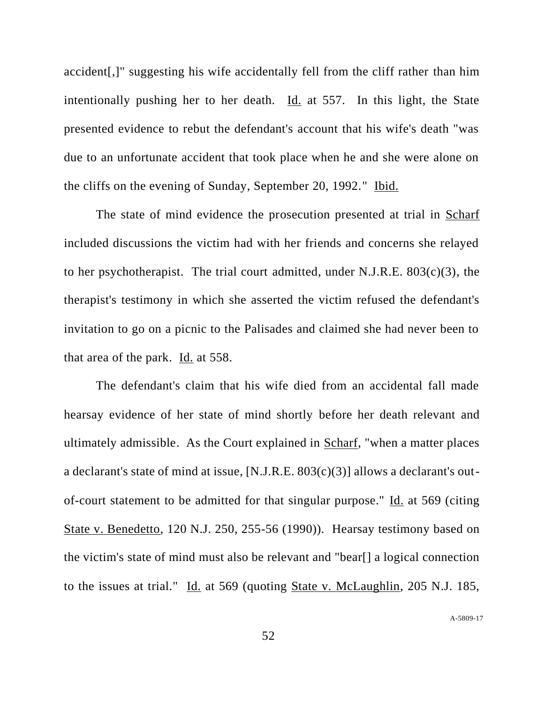accident[,]" suggesting his wife accidentally fell from the cliff rather than him intentionally pushing her to her death. Id. at 557. In this light, the State presented evidence to rebut the defendant's account that his wife's death "was due to an unfortunate accident that took place when he and she were alone on the cliffs on the evening of Sunday, September 20, 1992." Ibid.

The state of mind evidence the prosecution presented at trial in Scharf included discussions the victim had with her friends and concerns she relayed to her psychotherapist. The trial court admitted, under N.J.R.E. 803(c)(3), the therapist's testimony in which she asserted the victim refused the defendant's invitation to go on a picnic to the Palisades and claimed she had never been to that area of the park. Id. at 558.

The defendant's claim that his wife died from an accidental fall made hearsay evidence of her state of mind shortly before her death relevant and ultimately admissible. As the Court explained in Scharf, "when a matter places a declarant's state of mind at issue, [N.J.R.E. 803(c)(3)] allows a declarant's outof-court statement to be admitted for that singular purpose." Id. at 569 (citing State v. Benedetto, 120 N.J. 250, 255-56 (1990)). Hearsay testimony based on the victim's state of mind must also be relevant and "bear[] a logical connection to the issues at trial." Id. at 569 (quoting State v. McLaughlin, 205 N.J. 185,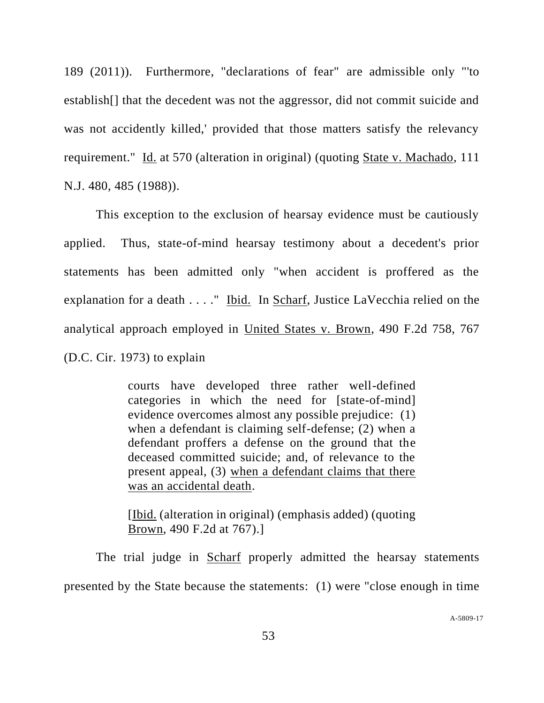189 (2011)). Furthermore, "declarations of fear" are admissible only "'to establish[] that the decedent was not the aggressor, did not commit suicide and was not accidently killed,' provided that those matters satisfy the relevancy requirement." Id. at 570 (alteration in original) (quoting State v. Machado, 111 N.J. 480, 485 (1988)).

This exception to the exclusion of hearsay evidence must be cautiously applied. Thus, state-of-mind hearsay testimony about a decedent's prior statements has been admitted only "when accident is proffered as the explanation for a death . . . ." Ibid. In Scharf, Justice LaVecchia relied on the analytical approach employed in United States v. Brown, 490 F.2d 758, 767 (D.C. Cir. 1973) to explain

> courts have developed three rather well-defined categories in which the need for [state-of-mind] evidence overcomes almost any possible prejudice: (1) when a defendant is claiming self-defense; (2) when a defendant proffers a defense on the ground that the deceased committed suicide; and, of relevance to the present appeal, (3) when a defendant claims that there was an accidental death.

> [Ibid. (alteration in original) (emphasis added) (quoting Brown, 490 F.2d at 767).]

The trial judge in Scharf properly admitted the hearsay statements presented by the State because the statements: (1) were "close enough in time

A[-5809-17](#page-0-0)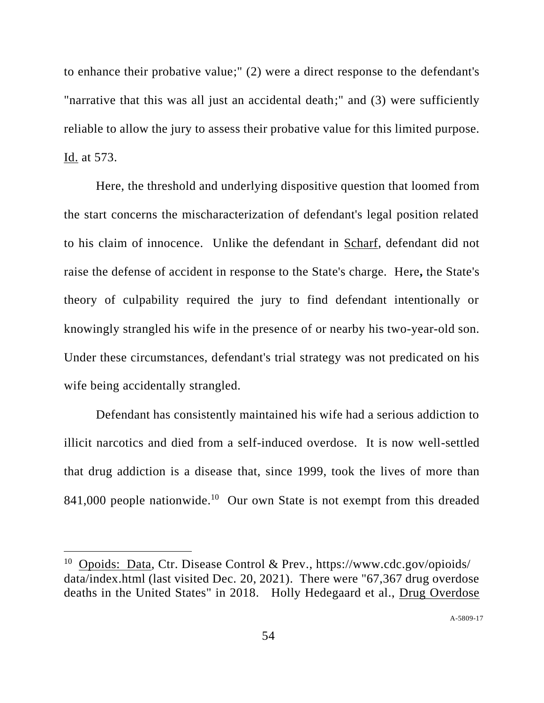to enhance their probative value;" (2) were a direct response to the defendant's "narrative that this was all just an accidental death;" and (3) were sufficiently reliable to allow the jury to assess their probative value for this limited purpose. Id. at 573.

Here, the threshold and underlying dispositive question that loomed from the start concerns the mischaracterization of defendant's legal position related to his claim of innocence. Unlike the defendant in Scharf, defendant did not raise the defense of accident in response to the State's charge. Here**,** the State's theory of culpability required the jury to find defendant intentionally or knowingly strangled his wife in the presence of or nearby his two-year-old son. Under these circumstances, defendant's trial strategy was not predicated on his wife being accidentally strangled.

Defendant has consistently maintained his wife had a serious addiction to illicit narcotics and died from a self-induced overdose. It is now well-settled that drug addiction is a disease that, since 1999, took the lives of more than 841,000 people nationwide.<sup>10</sup> Our own State is not exempt from this dreaded

<sup>&</sup>lt;sup>10</sup> Opoids: Data, Ctr. Disease Control & Prev., https://www.cdc.gov/opioids/ data/index.html (last visited Dec. 20, 2021). There were "67,367 drug overdose deaths in the United States" in 2018. Holly Hedegaard et al., Drug Overdose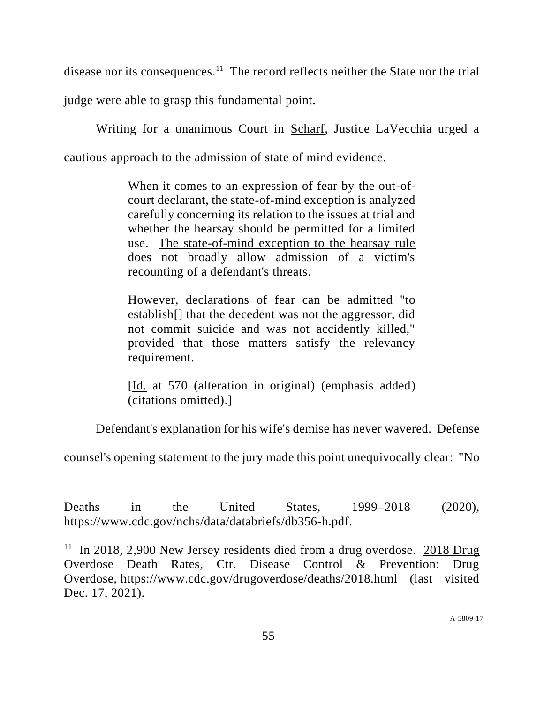disease nor its consequences.<sup>11</sup> The record reflects neither the State nor the trial

judge were able to grasp this fundamental point.

Writing for a unanimous Court in Scharf, Justice LaVecchia urged a cautious approach to the admission of state of mind evidence.

> When it comes to an expression of fear by the out-ofcourt declarant, the state-of-mind exception is analyzed carefully concerning its relation to the issues at trial and whether the hearsay should be permitted for a limited use. The state-of-mind exception to the hearsay rule does not broadly allow admission of a victim's recounting of a defendant's threats.

> However, declarations of fear can be admitted "to establish[] that the decedent was not the aggressor, did not commit suicide and was not accidently killed," provided that those matters satisfy the relevancy requirement.

> [Id. at 570 (alteration in original) (emphasis added) (citations omitted).]

Defendant's explanation for his wife's demise has never wavered. Defense

counsel's opening statement to the jury made this point unequivocally clear: "No

Deaths in the United States, 1999–2018 (2020), https://www.cdc.gov/nchs/data/databriefs/db356-h.pdf.

 $11$  In 2018, 2,900 New Jersey residents died from a drug overdose. 2018 Drug Overdose Death Rates, Ctr. Disease Control & Prevention: Drug Overdose, https://www.cdc.gov/drugoverdose/deaths/2018.html (last visited Dec. 17, 2021).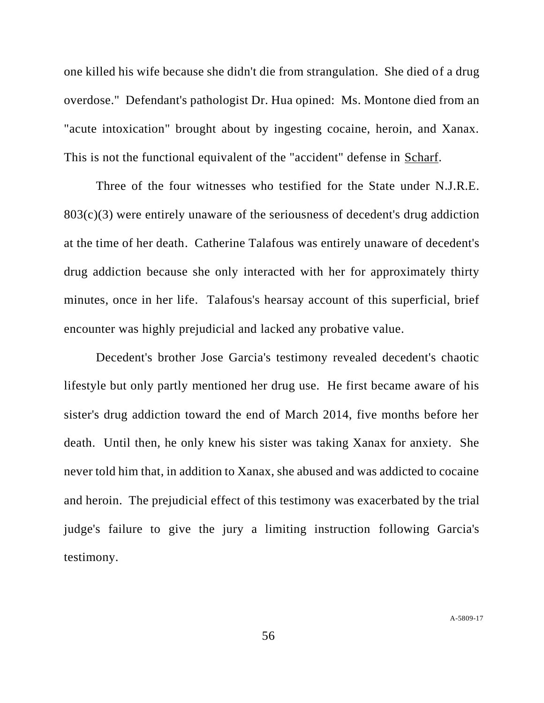one killed his wife because she didn't die from strangulation. She died of a drug overdose." Defendant's pathologist Dr. Hua opined: Ms. Montone died from an "acute intoxication" brought about by ingesting cocaine, heroin, and Xanax. This is not the functional equivalent of the "accident" defense in Scharf.

Three of the four witnesses who testified for the State under N.J.R.E. 803(c)(3) were entirely unaware of the seriousness of decedent's drug addiction at the time of her death. Catherine Talafous was entirely unaware of decedent's drug addiction because she only interacted with her for approximately thirty minutes, once in her life. Talafous's hearsay account of this superficial, brief encounter was highly prejudicial and lacked any probative value.

Decedent's brother Jose Garcia's testimony revealed decedent's chaotic lifestyle but only partly mentioned her drug use. He first became aware of his sister's drug addiction toward the end of March 2014, five months before her death. Until then, he only knew his sister was taking Xanax for anxiety. She never told him that, in addition to Xanax, she abused and was addicted to cocaine and heroin. The prejudicial effect of this testimony was exacerbated by the trial judge's failure to give the jury a limiting instruction following Garcia's testimony.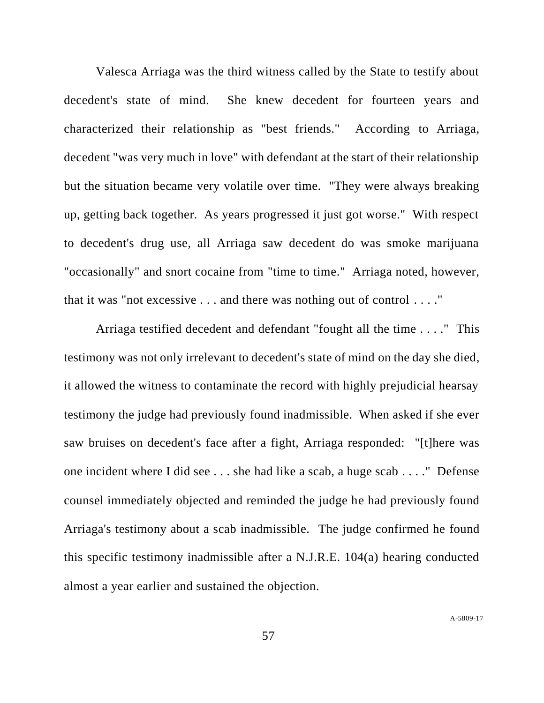Valesca Arriaga was the third witness called by the State to testify about decedent's state of mind. She knew decedent for fourteen years and characterized their relationship as "best friends." According to Arriaga, decedent "was very much in love" with defendant at the start of their relationship but the situation became very volatile over time. "They were always breaking up, getting back together. As years progressed it just got worse." With respect to decedent's drug use, all Arriaga saw decedent do was smoke marijuana "occasionally" and snort cocaine from "time to time." Arriaga noted, however, that it was "not excessive . . . and there was nothing out of control . . . ."

Arriaga testified decedent and defendant "fought all the time . . . ." This testimony was not only irrelevant to decedent's state of mind on the day she died, it allowed the witness to contaminate the record with highly prejudicial hearsay testimony the judge had previously found inadmissible. When asked if she ever saw bruises on decedent's face after a fight, Arriaga responded: "[t]here was one incident where I did see . . . she had like a scab, a huge scab . . . ." Defense counsel immediately objected and reminded the judge he had previously found Arriaga's testimony about a scab inadmissible. The judge confirmed he found this specific testimony inadmissible after a N.J.R.E. 104(a) hearing conducted almost a year earlier and sustained the objection.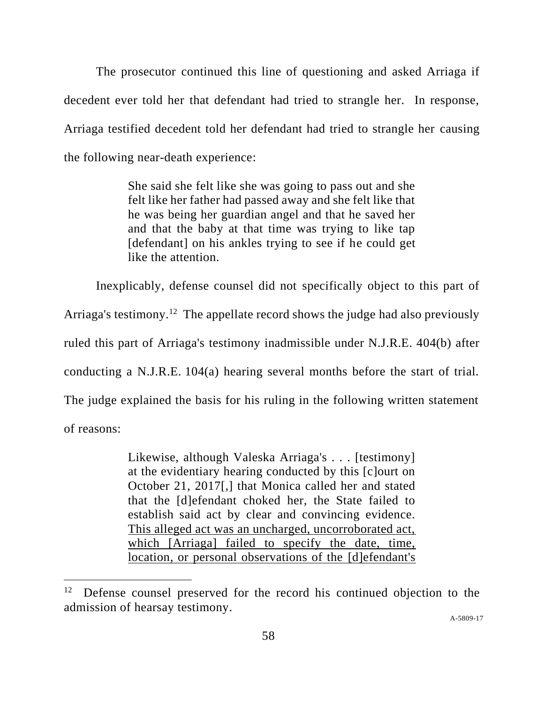The prosecutor continued this line of questioning and asked Arriaga if decedent ever told her that defendant had tried to strangle her. In response, Arriaga testified decedent told her defendant had tried to strangle her causing the following near-death experience:

> She said she felt like she was going to pass out and she felt like her father had passed away and she felt like that he was being her guardian angel and that he saved her and that the baby at that time was trying to like tap [defendant] on his ankles trying to see if he could get like the attention.

Inexplicably, defense counsel did not specifically object to this part of

Arriaga's testimony.<sup>12</sup> The appellate record shows the judge had also previously

ruled this part of Arriaga's testimony inadmissible under N.J.R.E. 404(b) after

conducting a N.J.R.E. 104(a) hearing several months before the start of trial.

The judge explained the basis for his ruling in the following written statement

of reasons:

Likewise, although Valeska Arriaga's . . . [testimony] at the evidentiary hearing conducted by this [c]ourt on October 21, 2017[,] that Monica called her and stated that the [d]efendant choked her, the State failed to establish said act by clear and convincing evidence. This alleged act was an uncharged, uncorroborated act, which [Arriaga] failed to specify the date, time, location, or personal observations of the [d]efendant's

A[-5809-17](#page-0-0)

<sup>&</sup>lt;sup>12</sup> Defense counsel preserved for the record his continued objection to the admission of hearsay testimony.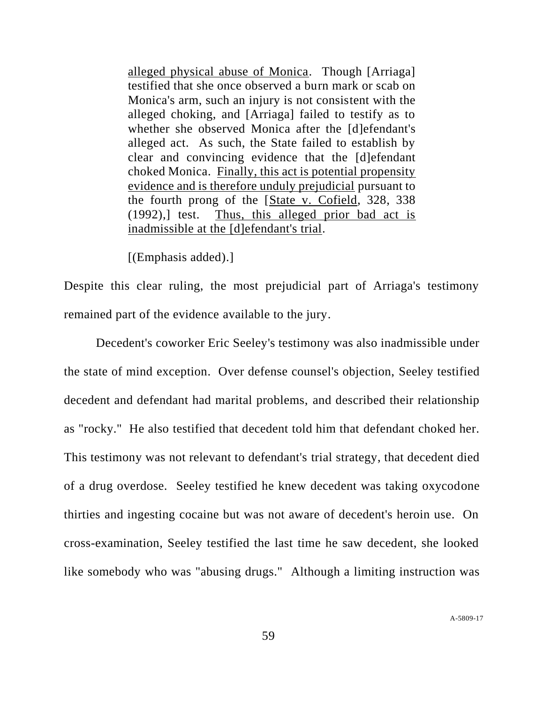alleged physical abuse of Monica. Though [Arriaga] testified that she once observed a burn mark or scab on Monica's arm, such an injury is not consistent with the alleged choking, and [Arriaga] failed to testify as to whether she observed Monica after the [d]efendant's alleged act. As such, the State failed to establish by clear and convincing evidence that the [d]efendant choked Monica. Finally, this act is potential propensity evidence and is therefore unduly prejudicial pursuant to the fourth prong of the [State v. Cofield, 328, 338 (1992),] test. Thus, this alleged prior bad act is inadmissible at the [d]efendant's trial.

[(Emphasis added).]

Despite this clear ruling, the most prejudicial part of Arriaga's testimony remained part of the evidence available to the jury.

Decedent's coworker Eric Seeley's testimony was also inadmissible under the state of mind exception. Over defense counsel's objection, Seeley testified decedent and defendant had marital problems, and described their relationship as "rocky." He also testified that decedent told him that defendant choked her. This testimony was not relevant to defendant's trial strategy, that decedent died of a drug overdose. Seeley testified he knew decedent was taking oxycodone thirties and ingesting cocaine but was not aware of decedent's heroin use. On cross-examination, Seeley testified the last time he saw decedent, she looked like somebody who was "abusing drugs." Although a limiting instruction was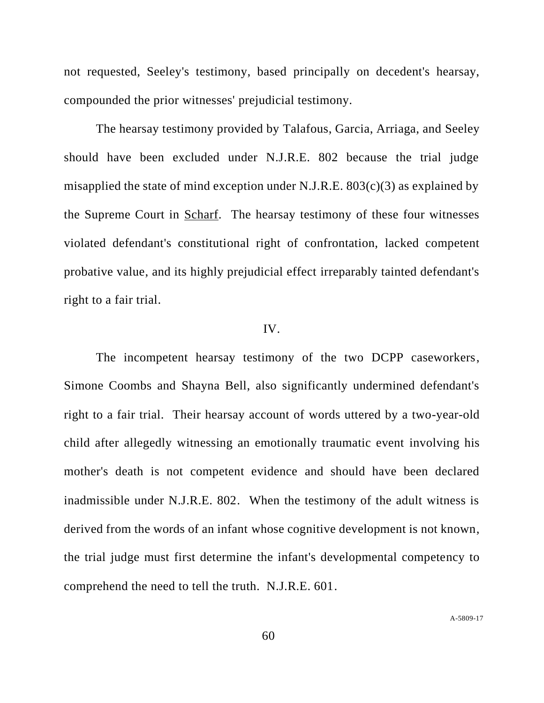not requested, Seeley's testimony, based principally on decedent's hearsay, compounded the prior witnesses' prejudicial testimony.

The hearsay testimony provided by Talafous, Garcia, Arriaga, and Seeley should have been excluded under N.J.R.E. 802 because the trial judge misapplied the state of mind exception under N.J.R.E.  $803(c)(3)$  as explained by the Supreme Court in Scharf. The hearsay testimony of these four witnesses violated defendant's constitutional right of confrontation, lacked competent probative value, and its highly prejudicial effect irreparably tainted defendant's right to a fair trial.

## IV.

The incompetent hearsay testimony of the two DCPP caseworkers, Simone Coombs and Shayna Bell, also significantly undermined defendant's right to a fair trial. Their hearsay account of words uttered by a two-year-old child after allegedly witnessing an emotionally traumatic event involving his mother's death is not competent evidence and should have been declared inadmissible under N.J.R.E. 802. When the testimony of the adult witness is derived from the words of an infant whose cognitive development is not known, the trial judge must first determine the infant's developmental competency to comprehend the need to tell the truth. N.J.R.E. 601.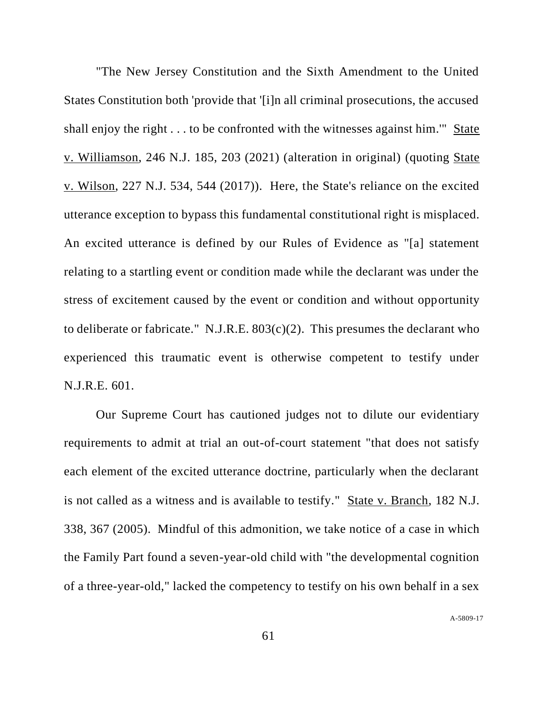"The New Jersey Constitution and the Sixth Amendment to the United States Constitution both 'provide that '[i]n all criminal prosecutions, the accused shall enjoy the right . . . to be confronted with the witnesses against him.'" State v. Williamson, 246 N.J. 185, 203 (2021) (alteration in original) (quoting State v. Wilson, 227 N.J. 534, 544 (2017)). Here, the State's reliance on the excited utterance exception to bypass this fundamental constitutional right is misplaced. An excited utterance is defined by our Rules of Evidence as "[a] statement relating to a startling event or condition made while the declarant was under the stress of excitement caused by the event or condition and without opportunity to deliberate or fabricate." N.J.R.E.  $803(c)(2)$ . This presumes the declarant who experienced this traumatic event is otherwise competent to testify under N.J.R.E. 601.

Our Supreme Court has cautioned judges not to dilute our evidentiary requirements to admit at trial an out-of-court statement "that does not satisfy each element of the excited utterance doctrine, particularly when the declarant is not called as a witness and is available to testify." State v. Branch, 182 N.J. 338, 367 (2005). Mindful of this admonition, we take notice of a case in which the Family Part found a seven-year-old child with "the developmental cognition of a three-year-old," lacked the competency to testify on his own behalf in a sex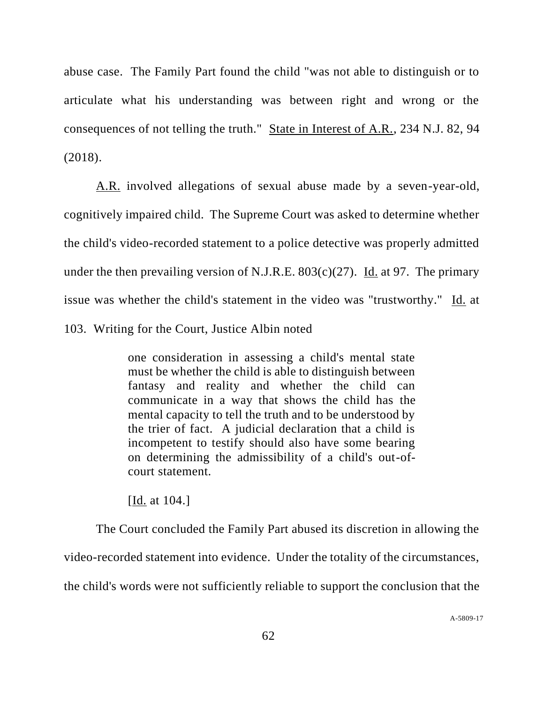abuse case. The Family Part found the child "was not able to distinguish or to articulate what his understanding was between right and wrong or the consequences of not telling the truth." State in Interest of A.R., 234 N.J. 82, 94 (2018).

A.R. involved allegations of sexual abuse made by a seven-year-old, cognitively impaired child. The Supreme Court was asked to determine whether the child's video-recorded statement to a police detective was properly admitted under the then prevailing version of N.J.R.E.  $803(c)(27)$ . Id. at 97. The primary issue was whether the child's statement in the video was "trustworthy." Id. at 103. Writing for the Court, Justice Albin noted

> one consideration in assessing a child's mental state must be whether the child is able to distinguish between fantasy and reality and whether the child can communicate in a way that shows the child has the mental capacity to tell the truth and to be understood by the trier of fact. A judicial declaration that a child is incompetent to testify should also have some bearing on determining the admissibility of a child's out-ofcourt statement.

[Id. at 104.]

The Court concluded the Family Part abused its discretion in allowing the video-recorded statement into evidence. Under the totality of the circumstances, the child's words were not sufficiently reliable to support the conclusion that the

A[-5809-17](#page-0-0)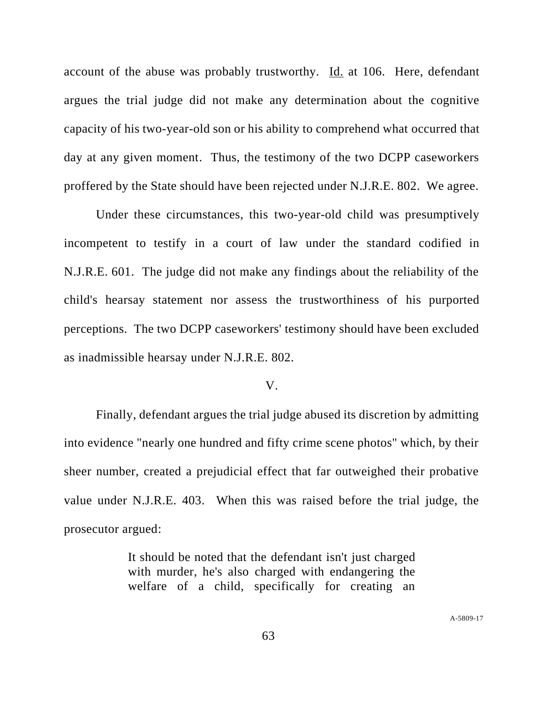account of the abuse was probably trustworthy. Id. at 106. Here, defendant argues the trial judge did not make any determination about the cognitive capacity of his two-year-old son or his ability to comprehend what occurred that day at any given moment. Thus, the testimony of the two DCPP caseworkers proffered by the State should have been rejected under N.J.R.E. 802. We agree.

Under these circumstances, this two-year-old child was presumptively incompetent to testify in a court of law under the standard codified in N.J.R.E. 601. The judge did not make any findings about the reliability of the child's hearsay statement nor assess the trustworthiness of his purported perceptions. The two DCPP caseworkers' testimony should have been excluded as inadmissible hearsay under N.J.R.E. 802.

#### V.

Finally, defendant argues the trial judge abused its discretion by admitting into evidence "nearly one hundred and fifty crime scene photos" which, by their sheer number, created a prejudicial effect that far outweighed their probative value under N.J.R.E. 403. When this was raised before the trial judge, the prosecutor argued:

> It should be noted that the defendant isn't just charged with murder, he's also charged with endangering the welfare of a child, specifically for creating an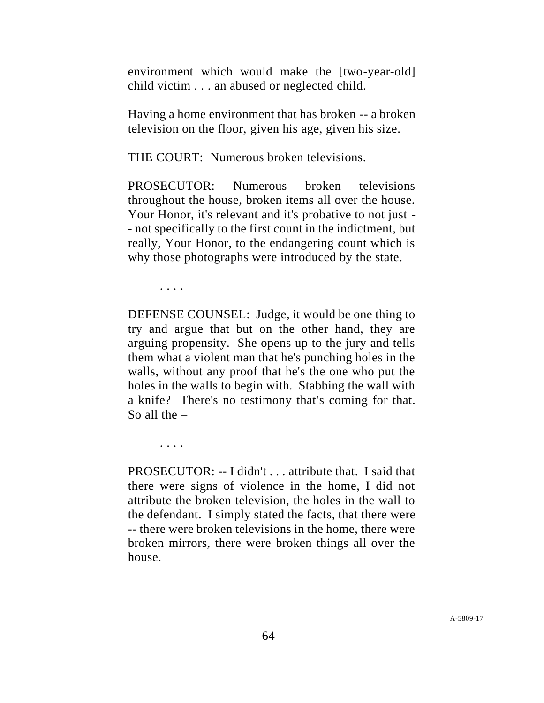environment which would make the [two-year-old] child victim . . . an abused or neglected child.

Having a home environment that has broken -- a broken television on the floor, given his age, given his size.

THE COURT: Numerous broken televisions.

PROSECUTOR: Numerous broken televisions throughout the house, broken items all over the house. Your Honor, it's relevant and it's probative to not just - - not specifically to the first count in the indictment, but really, Your Honor, to the endangering count which is why those photographs were introduced by the state.

. . . .

. . . .

DEFENSE COUNSEL: Judge, it would be one thing to try and argue that but on the other hand, they are arguing propensity. She opens up to the jury and tells them what a violent man that he's punching holes in the walls, without any proof that he's the one who put the holes in the walls to begin with. Stabbing the wall with a knife? There's no testimony that's coming for that. So all the  $-$ 

PROSECUTOR: -- I didn't . . . attribute that. I said that there were signs of violence in the home, I did not attribute the broken television, the holes in the wall to the defendant. I simply stated the facts, that there were -- there were broken televisions in the home, there were broken mirrors, there were broken things all over the house.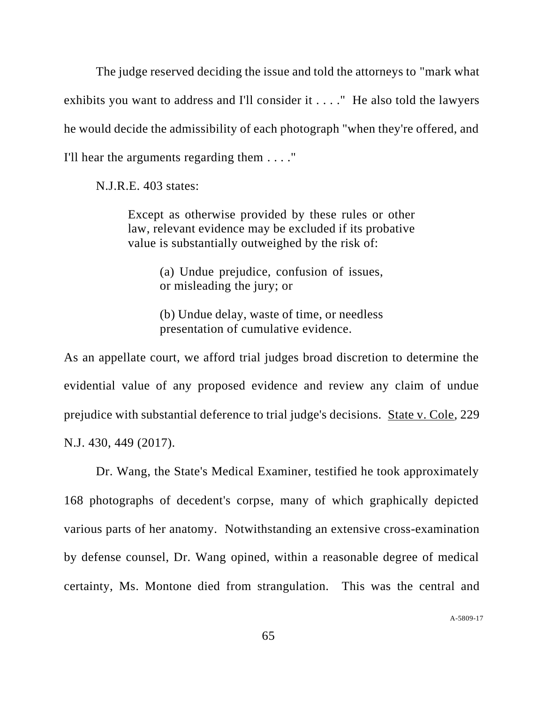The judge reserved deciding the issue and told the attorneys to "mark what exhibits you want to address and I'll consider it . . . ." He also told the lawyers he would decide the admissibility of each photograph "when they're offered, and I'll hear the arguments regarding them . . . ."

N.J.R.E. 403 states:

Except as otherwise provided by these rules or other law, relevant evidence may be excluded if its probative value is substantially outweighed by the risk of:

> (a) Undue prejudice, confusion of issues, or misleading the jury; or

> (b) Undue delay, waste of time, or needless presentation of cumulative evidence.

As an appellate court, we afford trial judges broad discretion to determine the evidential value of any proposed evidence and review any claim of undue prejudice with substantial deference to trial judge's decisions. State v. Cole, 229 N.J. 430, 449 (2017).

Dr. Wang, the State's Medical Examiner, testified he took approximately 168 photographs of decedent's corpse, many of which graphically depicted various parts of her anatomy. Notwithstanding an extensive cross-examination by defense counsel, Dr. Wang opined, within a reasonable degree of medical certainty, Ms. Montone died from strangulation. This was the central and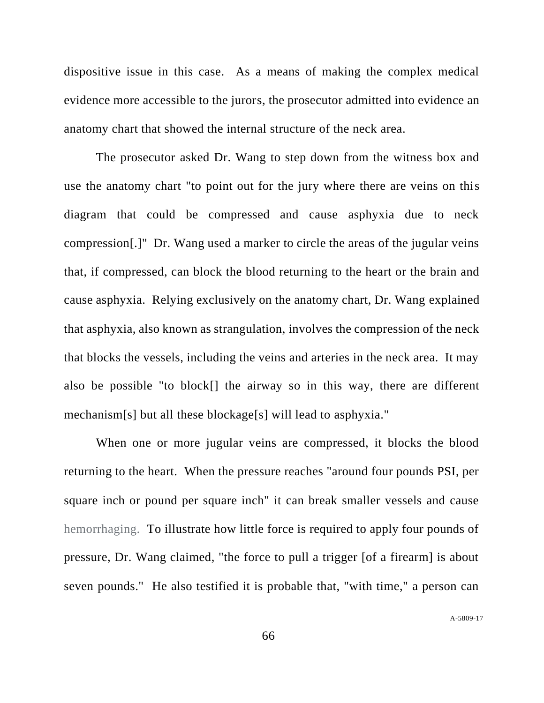dispositive issue in this case. As a means of making the complex medical evidence more accessible to the jurors, the prosecutor admitted into evidence an anatomy chart that showed the internal structure of the neck area.

The prosecutor asked Dr. Wang to step down from the witness box and use the anatomy chart "to point out for the jury where there are veins on this diagram that could be compressed and cause asphyxia due to neck compression[.]" Dr. Wang used a marker to circle the areas of the jugular veins that, if compressed, can block the blood returning to the heart or the brain and cause asphyxia. Relying exclusively on the anatomy chart, Dr. Wang explained that asphyxia, also known as strangulation, involves the compression of the neck that blocks the vessels, including the veins and arteries in the neck area. It may also be possible "to block[] the airway so in this way, there are different mechanism[s] but all these blockage[s] will lead to asphyxia."

When one or more jugular veins are compressed, it blocks the blood returning to the heart. When the pressure reaches "around four pounds PSI, per square inch or pound per square inch" it can break smaller vessels and cause hemorrhaging. To illustrate how little force is required to apply four pounds of pressure, Dr. Wang claimed, "the force to pull a trigger [of a firearm] is about seven pounds." He also testified it is probable that, "with time," a person can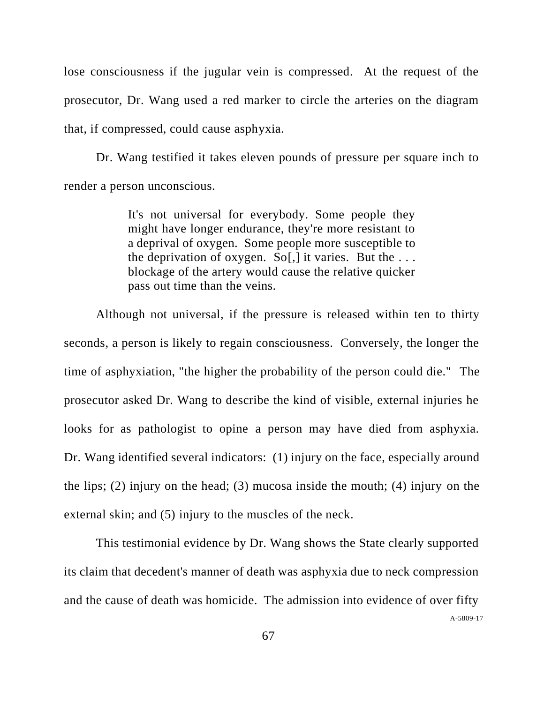lose consciousness if the jugular vein is compressed. At the request of the prosecutor, Dr. Wang used a red marker to circle the arteries on the diagram that, if compressed, could cause asphyxia.

Dr. Wang testified it takes eleven pounds of pressure per square inch to render a person unconscious.

> It's not universal for everybody. Some people they might have longer endurance, they're more resistant to a deprival of oxygen. Some people more susceptible to the deprivation of oxygen. So[,] it varies. But the  $\dots$ blockage of the artery would cause the relative quicker pass out time than the veins.

Although not universal, if the pressure is released within ten to thirty seconds, a person is likely to regain consciousness. Conversely, the longer the time of asphyxiation, "the higher the probability of the person could die." The prosecutor asked Dr. Wang to describe the kind of visible, external injuries he looks for as pathologist to opine a person may have died from asphyxia. Dr. Wang identified several indicators: (1) injury on the face, especially around the lips; (2) injury on the head; (3) mucosa inside the mouth; (4) injury on the external skin; and (5) injury to the muscles of the neck.

This testimonial evidence by Dr. Wang shows the State clearly supported its claim that decedent's manner of death was asphyxia due to neck compression and the cause of death was homicide. The admission into evidence of over fifty

A[-5809-17](#page-0-0)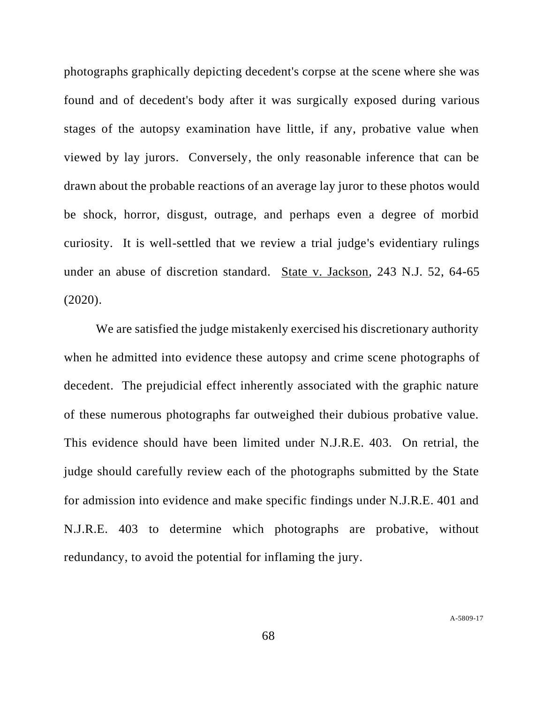photographs graphically depicting decedent's corpse at the scene where she was found and of decedent's body after it was surgically exposed during various stages of the autopsy examination have little, if any, probative value when viewed by lay jurors. Conversely, the only reasonable inference that can be drawn about the probable reactions of an average lay juror to these photos would be shock, horror, disgust, outrage, and perhaps even a degree of morbid curiosity. It is well-settled that we review a trial judge's evidentiary rulings under an abuse of discretion standard. State v. Jackson, 243 N.J. 52, 64-65 (2020).

We are satisfied the judge mistakenly exercised his discretionary authority when he admitted into evidence these autopsy and crime scene photographs of decedent. The prejudicial effect inherently associated with the graphic nature of these numerous photographs far outweighed their dubious probative value. This evidence should have been limited under N.J.R.E. 403. On retrial, the judge should carefully review each of the photographs submitted by the State for admission into evidence and make specific findings under N.J.R.E. 401 and N.J.R.E. 403 to determine which photographs are probative, without redundancy, to avoid the potential for inflaming the jury.